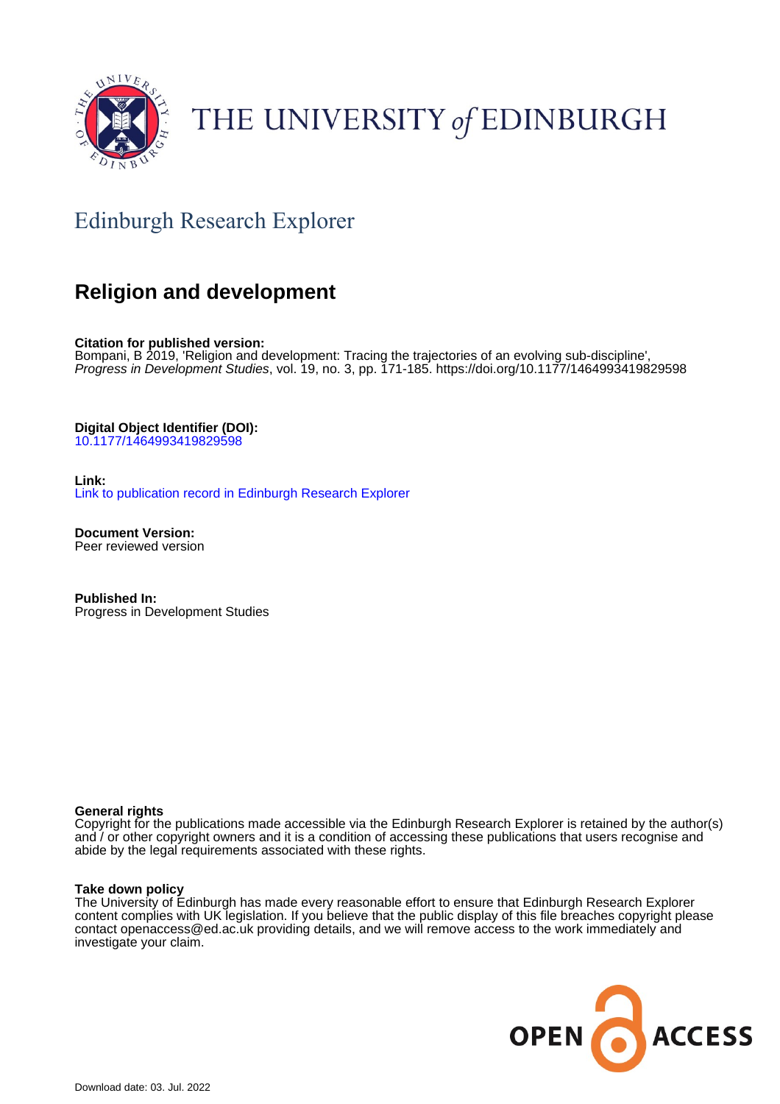

# THE UNIVERSITY of EDINBURGH

## Edinburgh Research Explorer

### **Religion and development**

**Citation for published version:** Bompani, B 2019, 'Religion and development: Tracing the trajectories of an evolving sub-discipline', Progress in Development Studies, vol. 19, no. 3, pp. 171-185. <https://doi.org/10.1177/1464993419829598>

**Digital Object Identifier (DOI):**

[10.1177/1464993419829598](https://doi.org/10.1177/1464993419829598)

**Link:** [Link to publication record in Edinburgh Research Explorer](https://www.research.ed.ac.uk/en/publications/904a2de0-142f-4c1b-8f56-8edf874e60b3)

**Document Version:** Peer reviewed version

**Published In:** Progress in Development Studies

#### **General rights**

Copyright for the publications made accessible via the Edinburgh Research Explorer is retained by the author(s) and / or other copyright owners and it is a condition of accessing these publications that users recognise and abide by the legal requirements associated with these rights.

#### **Take down policy**

The University of Edinburgh has made every reasonable effort to ensure that Edinburgh Research Explorer content complies with UK legislation. If you believe that the public display of this file breaches copyright please contact openaccess@ed.ac.uk providing details, and we will remove access to the work immediately and investigate your claim.

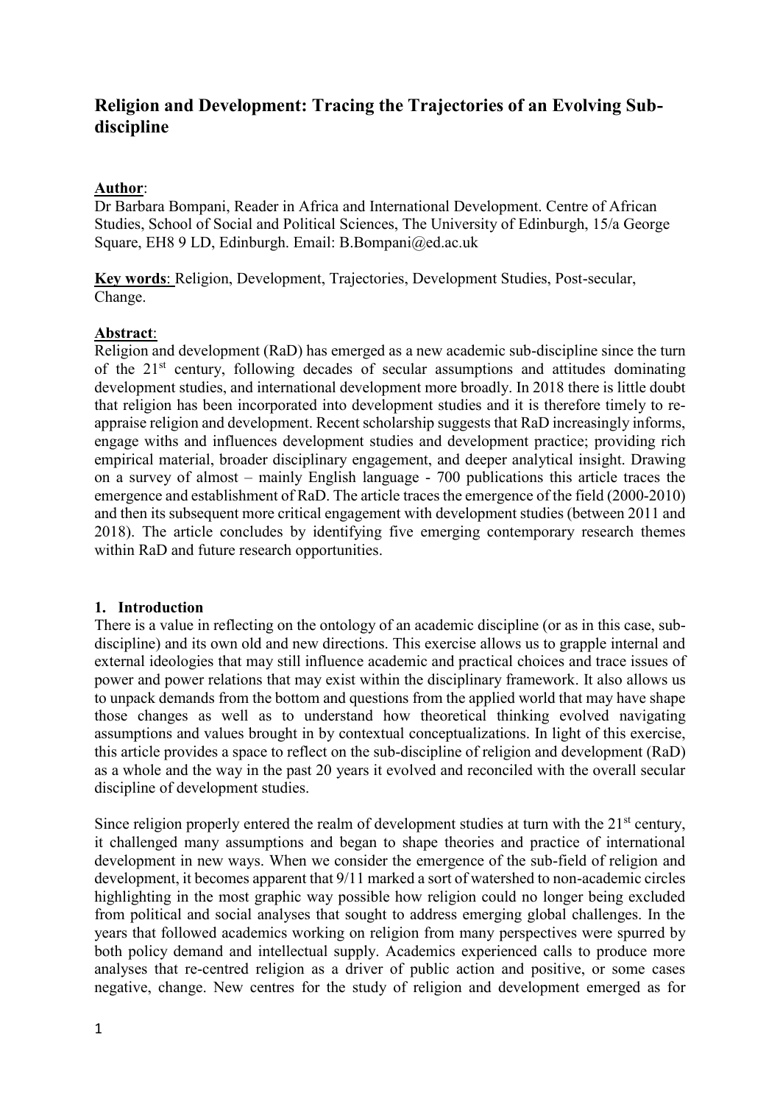### **Religion and Development: Tracing the Trajectories of an Evolving Subdiscipline**

#### **Author**:

Dr Barbara Bompani, Reader in Africa and International Development. Centre of African Studies, School of Social and Political Sciences, The University of Edinburgh, 15/a George Square, EH8 9 LD, Edinburgh. Email: B.Bompani@ed.ac.uk

**Key words**: Religion, Development, Trajectories, Development Studies, Post-secular, Change.

#### **Abstract**:

Religion and development (RaD) has emerged as a new academic sub-discipline since the turn of the  $21<sup>st</sup>$  century, following decades of secular assumptions and attitudes dominating development studies, and international development more broadly. In 2018 there is little doubt that religion has been incorporated into development studies and it is therefore timely to reappraise religion and development. Recent scholarship suggests that RaD increasingly informs, engage withs and influences development studies and development practice; providing rich empirical material, broader disciplinary engagement, and deeper analytical insight. Drawing on a survey of almost – mainly English language - 700 publications this article traces the emergence and establishment of RaD. The article traces the emergence of the field (2000-2010) and then its subsequent more critical engagement with development studies (between 2011 and 2018). The article concludes by identifying five emerging contemporary research themes within RaD and future research opportunities.

#### **1. Introduction**

There is a value in reflecting on the ontology of an academic discipline (or as in this case, subdiscipline) and its own old and new directions. This exercise allows us to grapple internal and external ideologies that may still influence academic and practical choices and trace issues of power and power relations that may exist within the disciplinary framework. It also allows us to unpack demands from the bottom and questions from the applied world that may have shape those changes as well as to understand how theoretical thinking evolved navigating assumptions and values brought in by contextual conceptualizations. In light of this exercise, this article provides a space to reflect on the sub-discipline of religion and development (RaD) as a whole and the way in the past 20 years it evolved and reconciled with the overall secular discipline of development studies.

Since religion properly entered the realm of development studies at turn with the  $21<sup>st</sup>$  century, it challenged many assumptions and began to shape theories and practice of international development in new ways. When we consider the emergence of the sub-field of religion and development, it becomes apparent that 9/11 marked a sort of watershed to non-academic circles highlighting in the most graphic way possible how religion could no longer being excluded from political and social analyses that sought to address emerging global challenges. In the years that followed academics working on religion from many perspectives were spurred by both policy demand and intellectual supply. Academics experienced calls to produce more analyses that re-centred religion as a driver of public action and positive, or some cases negative, change. New centres for the study of religion and development emerged as for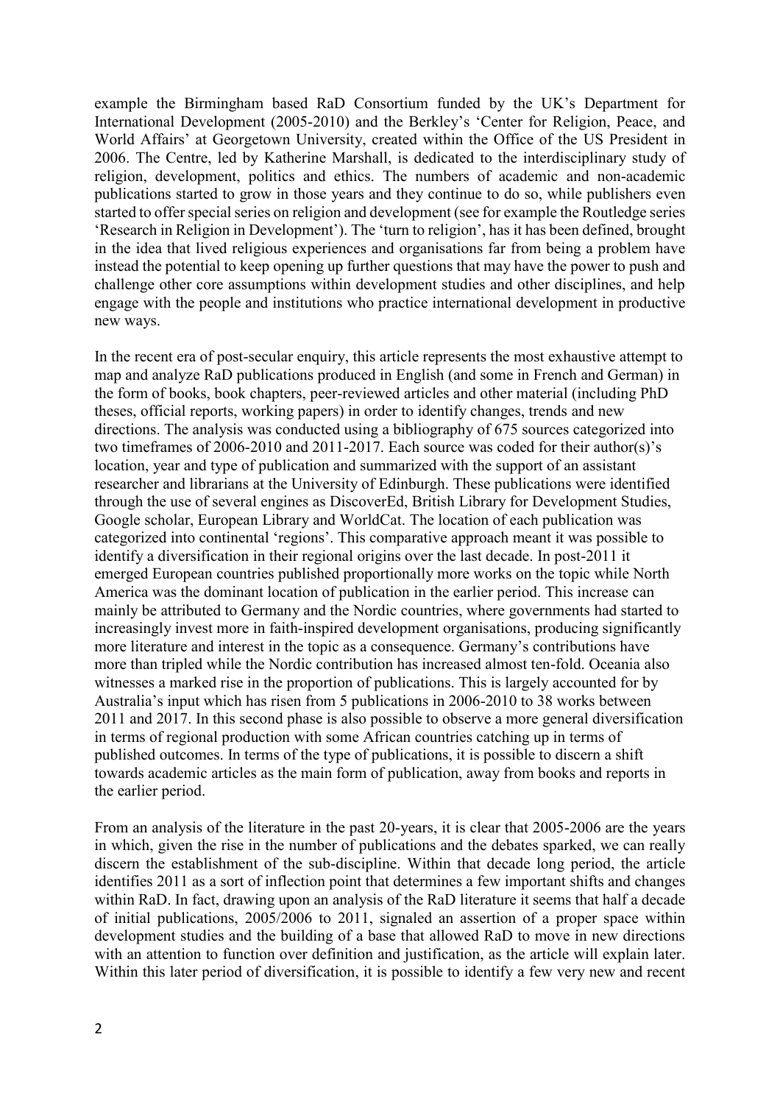example the Birmingham based RaD Consortium funded by the UK's Department for International Development (2005-2010) and the Berkley's 'Center for Religion, Peace, and World Affairs' at Georgetown University, created within the Office of the US President in 2006. The Centre, led by Katherine Marshall, is dedicated to the interdisciplinary study of religion, development, politics and ethics. The numbers of academic and non-academic publications started to grow in those years and they continue to do so, while publishers even started to offer special series on religion and development (see for example the Routledge series 'Research in Religion in Development'). The 'turn to religion', has it has been defined, brought in the idea that lived religious experiences and organisations far from being a problem have instead the potential to keep opening up further questions that may have the power to push and challenge other core assumptions within development studies and other disciplines, and help engage with the people and institutions who practice international development in productive new ways.

In the recent era of post-secular enquiry, this article represents the most exhaustive attempt to map and analyze RaD publications produced in English (and some in French and German) in the form of books, book chapters, peer-reviewed articles and other material (including PhD theses, official reports, working papers) in order to identify changes, trends and new directions. The analysis was conducted using a bibliography of 675 sources categorized into two timeframes of 2006-2010 and 2011-2017. Each source was coded for their author(s)'s location, year and type of publication and summarized with the support of an assistant researcher and librarians at the University of Edinburgh. These publications were identified through the use of several engines as DiscoverEd, British Library for Development Studies, Google scholar, European Library and WorldCat. The location of each publication was categorized into continental 'regions'. This comparative approach meant it was possible to identify a diversification in their regional origins over the last decade. In post-2011 it emerged European countries published proportionally more works on the topic while North America was the dominant location of publication in the earlier period. This increase can mainly be attributed to Germany and the Nordic countries, where governments had started to increasingly invest more in faith-inspired development organisations, producing significantly more literature and interest in the topic as a consequence. Germany's contributions have more than tripled while the Nordic contribution has increased almost ten-fold. Oceania also witnesses a marked rise in the proportion of publications. This is largely accounted for by Australia's input which has risen from 5 publications in 2006-2010 to 38 works between 2011 and 2017. In this second phase is also possible to observe a more general diversification in terms of regional production with some African countries catching up in terms of published outcomes. In terms of the type of publications, it is possible to discern a shift towards academic articles as the main form of publication, away from books and reports in the earlier period.

From an analysis of the literature in the past 20-years, it is clear that 2005-2006 are the years in which, given the rise in the number of publications and the debates sparked, we can really discern the establishment of the sub-discipline. Within that decade long period, the article identifies 2011 as a sort of inflection point that determines a few important shifts and changes within RaD. In fact, drawing upon an analysis of the RaD literature it seems that half a decade of initial publications, 2005/2006 to 2011, signaled an assertion of a proper space within development studies and the building of a base that allowed RaD to move in new directions with an attention to function over definition and justification, as the article will explain later. Within this later period of diversification, it is possible to identify a few very new and recent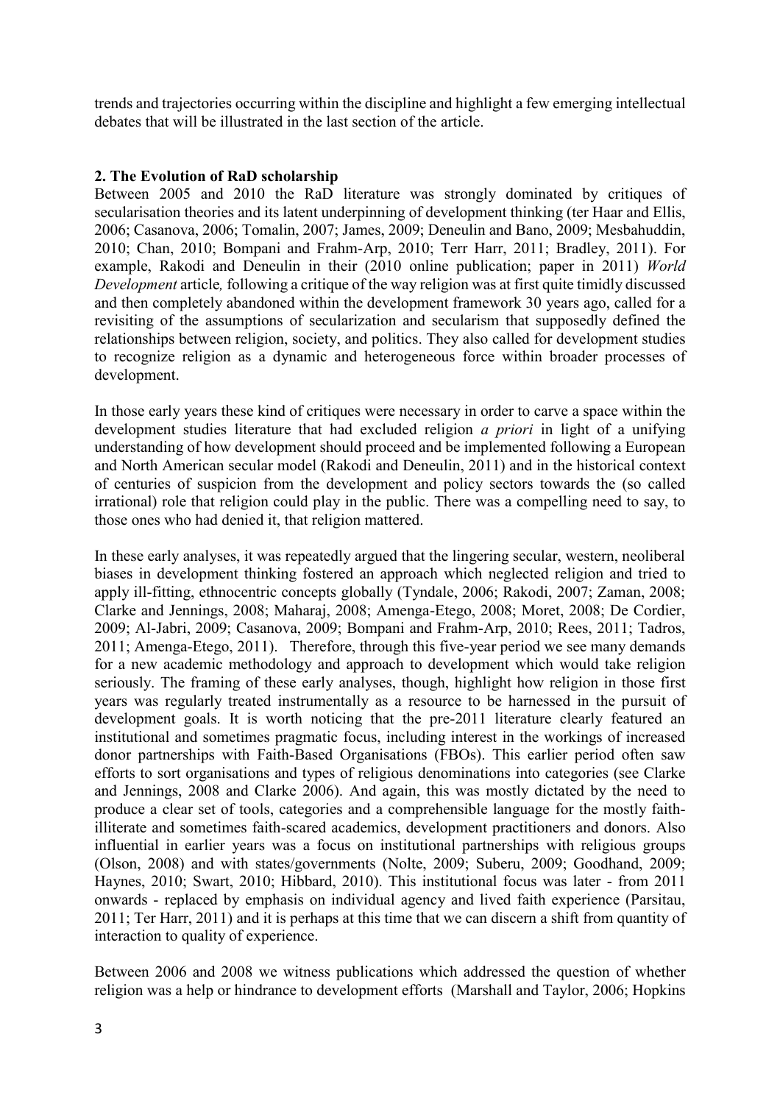trends and trajectories occurring within the discipline and highlight a few emerging intellectual debates that will be illustrated in the last section of the article.

#### **2. The Evolution of RaD scholarship**

Between 2005 and 2010 the RaD literature was strongly dominated by critiques of secularisation theories and its latent underpinning of development thinking (ter Haar and Ellis, 2006; Casanova, 2006; Tomalin, 2007; James, 2009; Deneulin and Bano, 2009; Mesbahuddin, 2010; Chan, 2010; Bompani and Frahm-Arp, 2010; Terr Harr, 2011; Bradley, 2011). For example, Rakodi and Deneulin in their (2010 online publication; paper in 2011) *World Development* article*,* following a critique of the way religion was at first quite timidly discussed and then completely abandoned within the development framework 30 years ago, called for a revisiting of the assumptions of secularization and secularism that supposedly defined the relationships between religion, society, and politics. They also called for development studies to recognize religion as a dynamic and heterogeneous force within broader processes of development.

In those early years these kind of critiques were necessary in order to carve a space within the development studies literature that had excluded religion *a priori* in light of a unifying understanding of how development should proceed and be implemented following a European and North American secular model (Rakodi and Deneulin, 2011) and in the historical context of centuries of suspicion from the development and policy sectors towards the (so called irrational) role that religion could play in the public. There was a compelling need to say, to those ones who had denied it, that religion mattered.

In these early analyses, it was repeatedly argued that the lingering secular, western, neoliberal biases in development thinking fostered an approach which neglected religion and tried to apply ill-fitting, ethnocentric concepts globally (Tyndale, 2006; Rakodi, 2007; Zaman, 2008; Clarke and Jennings, 2008; Maharaj, 2008; Amenga-Etego, 2008; Moret, 2008; De Cordier, 2009; Al-Jabri, 2009; Casanova, 2009; Bompani and Frahm-Arp, 2010; Rees, 2011; Tadros, 2011; Amenga-Etego, 2011). Therefore, through this five-year period we see many demands for a new academic methodology and approach to development which would take religion seriously. The framing of these early analyses, though, highlight how religion in those first years was regularly treated instrumentally as a resource to be harnessed in the pursuit of development goals. It is worth noticing that the pre-2011 literature clearly featured an institutional and sometimes pragmatic focus, including interest in the workings of increased donor partnerships with Faith-Based Organisations (FBOs). This earlier period often saw efforts to sort organisations and types of religious denominations into categories (see Clarke and Jennings, 2008 and Clarke 2006). And again, this was mostly dictated by the need to produce a clear set of tools, categories and a comprehensible language for the mostly faithilliterate and sometimes faith-scared academics, development practitioners and donors. Also influential in earlier years was a focus on institutional partnerships with religious groups (Olson, 2008) and with states/governments (Nolte, 2009; Suberu, 2009; Goodhand, 2009; Haynes, 2010; Swart, 2010; Hibbard, 2010). This institutional focus was later - from 2011 onwards - replaced by emphasis on individual agency and lived faith experience (Parsitau, 2011; Ter Harr, 2011) and it is perhaps at this time that we can discern a shift from quantity of interaction to quality of experience.

Between 2006 and 2008 we witness publications which addressed the question of whether religion was a help or hindrance to development efforts (Marshall and Taylor, 2006; Hopkins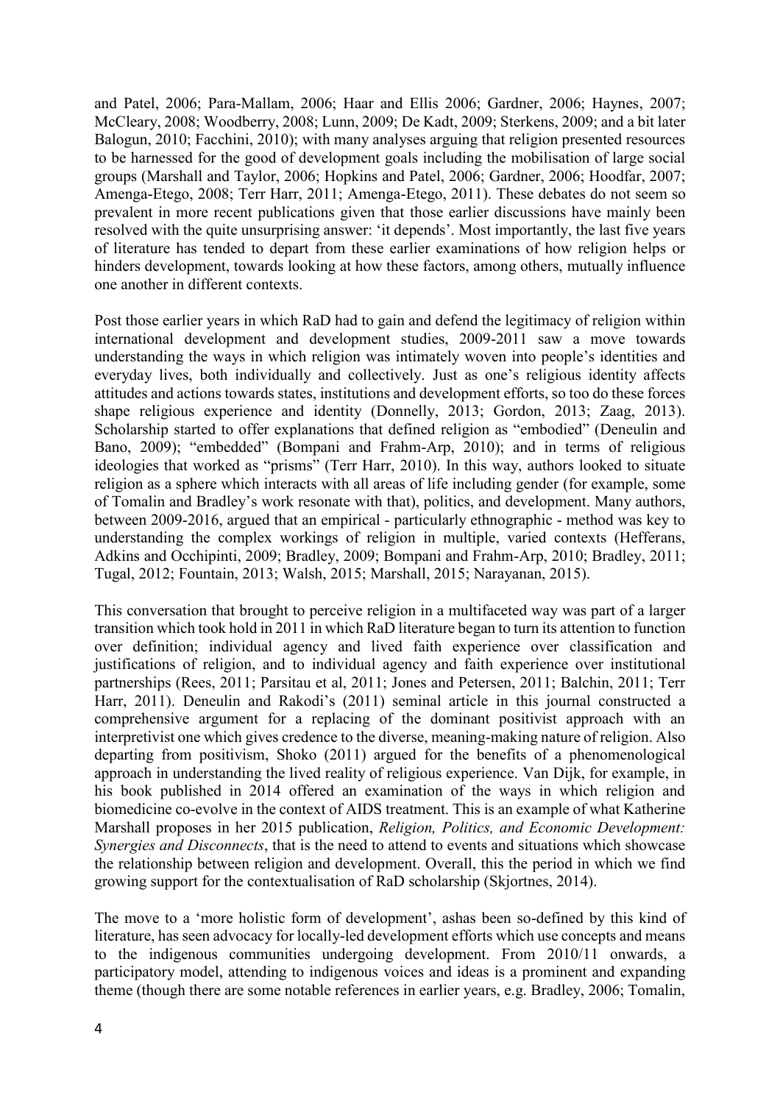and Patel, 2006; Para-Mallam, 2006; Haar and Ellis 2006; Gardner, 2006; Haynes, 2007; McCleary, 2008; Woodberry, 2008; Lunn, 2009; De Kadt, 2009; Sterkens, 2009; and a bit later Balogun, 2010; Facchini, 2010); with many analyses arguing that religion presented resources to be harnessed for the good of development goals including the mobilisation of large social groups (Marshall and Taylor, 2006; Hopkins and Patel, 2006; Gardner, 2006; Hoodfar, 2007; Amenga-Etego, 2008; Terr Harr, 2011; Amenga-Etego, 2011). These debates do not seem so prevalent in more recent publications given that those earlier discussions have mainly been resolved with the quite unsurprising answer: 'it depends'. Most importantly, the last five years of literature has tended to depart from these earlier examinations of how religion helps or hinders development, towards looking at how these factors, among others, mutually influence one another in different contexts.

Post those earlier years in which RaD had to gain and defend the legitimacy of religion within international development and development studies, 2009-2011 saw a move towards understanding the ways in which religion was intimately woven into people's identities and everyday lives, both individually and collectively. Just as one's religious identity affects attitudes and actions towards states, institutions and development efforts, so too do these forces shape religious experience and identity (Donnelly, 2013; Gordon, 2013; Zaag, 2013). Scholarship started to offer explanations that defined religion as "embodied" (Deneulin and Bano, 2009); "embedded" (Bompani and Frahm-Arp, 2010); and in terms of religious ideologies that worked as "prisms" (Terr Harr, 2010). In this way, authors looked to situate religion as a sphere which interacts with all areas of life including gender (for example, some of Tomalin and Bradley's work resonate with that), politics, and development. Many authors, between 2009-2016, argued that an empirical - particularly ethnographic - method was key to understanding the complex workings of religion in multiple, varied contexts (Hefferans, Adkins and Occhipinti, 2009; Bradley, 2009; Bompani and Frahm-Arp, 2010; Bradley, 2011; Tugal, 2012; Fountain, 2013; Walsh, 2015; Marshall, 2015; Narayanan, 2015).

This conversation that brought to perceive religion in a multifaceted way was part of a larger transition which took hold in 2011 in which RaD literature began to turn its attention to function over definition; individual agency and lived faith experience over classification and justifications of religion, and to individual agency and faith experience over institutional partnerships (Rees, 2011; Parsitau et al, 2011; Jones and Petersen, 2011; Balchin, 2011; Terr Harr, 2011). Deneulin and Rakodi's (2011) seminal article in this journal constructed a comprehensive argument for a replacing of the dominant positivist approach with an interpretivist one which gives credence to the diverse, meaning-making nature of religion. Also departing from positivism, Shoko (2011) argued for the benefits of a phenomenological approach in understanding the lived reality of religious experience. Van Dijk, for example, in his book published in 2014 offered an examination of the ways in which religion and biomedicine co-evolve in the context of AIDS treatment. This is an example of what Katherine Marshall proposes in her 2015 publication, *Religion, Politics, and Economic Development: Synergies and Disconnects*, that is the need to attend to events and situations which showcase the relationship between religion and development. Overall, this the period in which we find growing support for the contextualisation of RaD scholarship (Skjortnes, 2014).

The move to a 'more holistic form of development', ashas been so-defined by this kind of literature, has seen advocacy for locally-led development efforts which use concepts and means to the indigenous communities undergoing development. From 2010/11 onwards, a participatory model, attending to indigenous voices and ideas is a prominent and expanding theme (though there are some notable references in earlier years, e.g. Bradley, 2006; Tomalin,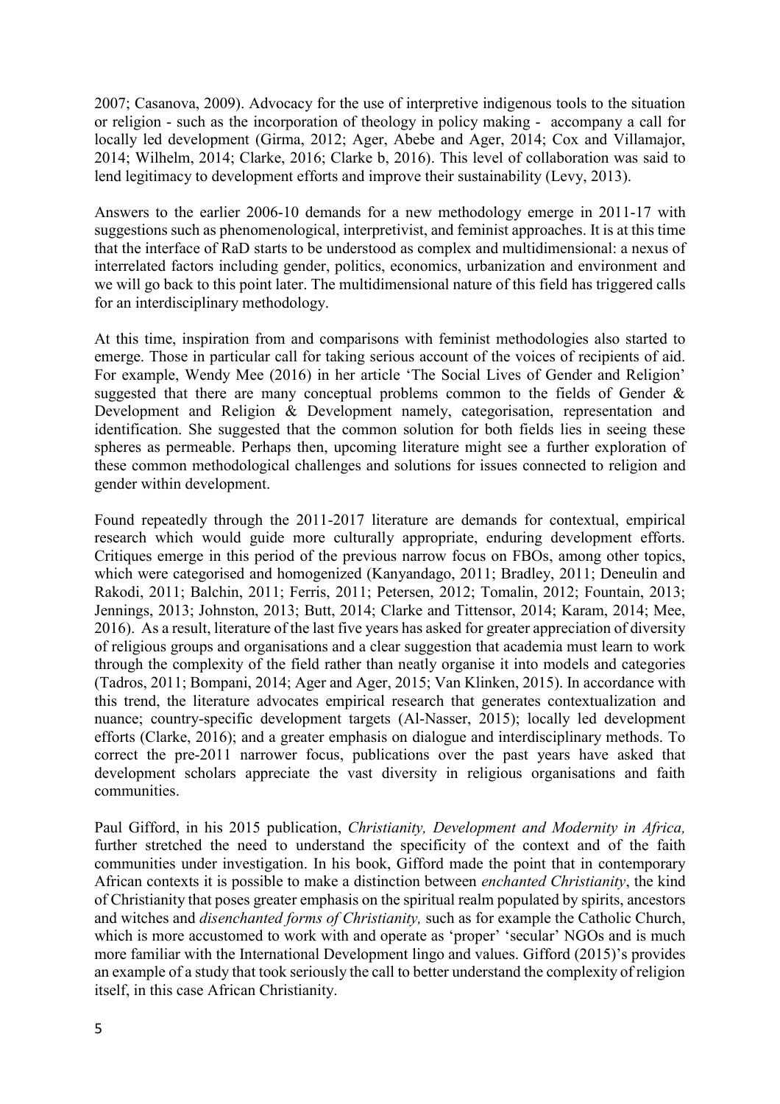2007; Casanova, 2009). Advocacy for the use of interpretive indigenous tools to the situation or religion - such as the incorporation of theology in policy making - accompany a call for locally led development (Girma, 2012; Ager, Abebe and Ager, 2014; Cox and Villamajor, 2014; Wilhelm, 2014; Clarke, 2016; Clarke b, 2016). This level of collaboration was said to lend legitimacy to development efforts and improve their sustainability (Levy, 2013).

Answers to the earlier 2006-10 demands for a new methodology emerge in 2011-17 with suggestions such as phenomenological, interpretivist, and feminist approaches. It is at this time that the interface of RaD starts to be understood as complex and multidimensional: a nexus of interrelated factors including gender, politics, economics, urbanization and environment and we will go back to this point later. The multidimensional nature of this field has triggered calls for an interdisciplinary methodology.

At this time, inspiration from and comparisons with feminist methodologies also started to emerge. Those in particular call for taking serious account of the voices of recipients of aid. For example, Wendy Mee (2016) in her article 'The Social Lives of Gender and Religion' suggested that there are many conceptual problems common to the fields of Gender & Development and Religion & Development namely, categorisation, representation and identification. She suggested that the common solution for both fields lies in seeing these spheres as permeable. Perhaps then, upcoming literature might see a further exploration of these common methodological challenges and solutions for issues connected to religion and gender within development.

Found repeatedly through the 2011-2017 literature are demands for contextual, empirical research which would guide more culturally appropriate, enduring development efforts. Critiques emerge in this period of the previous narrow focus on FBOs, among other topics, which were categorised and homogenized (Kanyandago, 2011; Bradley, 2011; Deneulin and Rakodi, 2011; Balchin, 2011; Ferris, 2011; Petersen, 2012; Tomalin, 2012; Fountain, 2013; Jennings, 2013; Johnston, 2013; Butt, 2014; Clarke and Tittensor, 2014; Karam, 2014; Mee, 2016). As a result, literature of the last five years has asked for greater appreciation of diversity of religious groups and organisations and a clear suggestion that academia must learn to work through the complexity of the field rather than neatly organise it into models and categories (Tadros, 2011; Bompani, 2014; Ager and Ager, 2015; Van Klinken, 2015). In accordance with this trend, the literature advocates empirical research that generates contextualization and nuance; country-specific development targets (Al-Nasser, 2015); locally led development efforts (Clarke, 2016); and a greater emphasis on dialogue and interdisciplinary methods. To correct the pre-2011 narrower focus, publications over the past years have asked that development scholars appreciate the vast diversity in religious organisations and faith communities.

Paul Gifford, in his 2015 publication, *Christianity, Development and Modernity in Africa,* further stretched the need to understand the specificity of the context and of the faith communities under investigation. In his book, Gifford made the point that in contemporary African contexts it is possible to make a distinction between *enchanted Christianity*, the kind of Christianity that poses greater emphasis on the spiritual realm populated by spirits, ancestors and witches and *disenchanted forms of Christianity,* such as for example the Catholic Church, which is more accustomed to work with and operate as 'proper' 'secular' NGOs and is much more familiar with the International Development lingo and values. Gifford (2015)'s provides an example of a study that took seriously the call to better understand the complexity of religion itself, in this case African Christianity.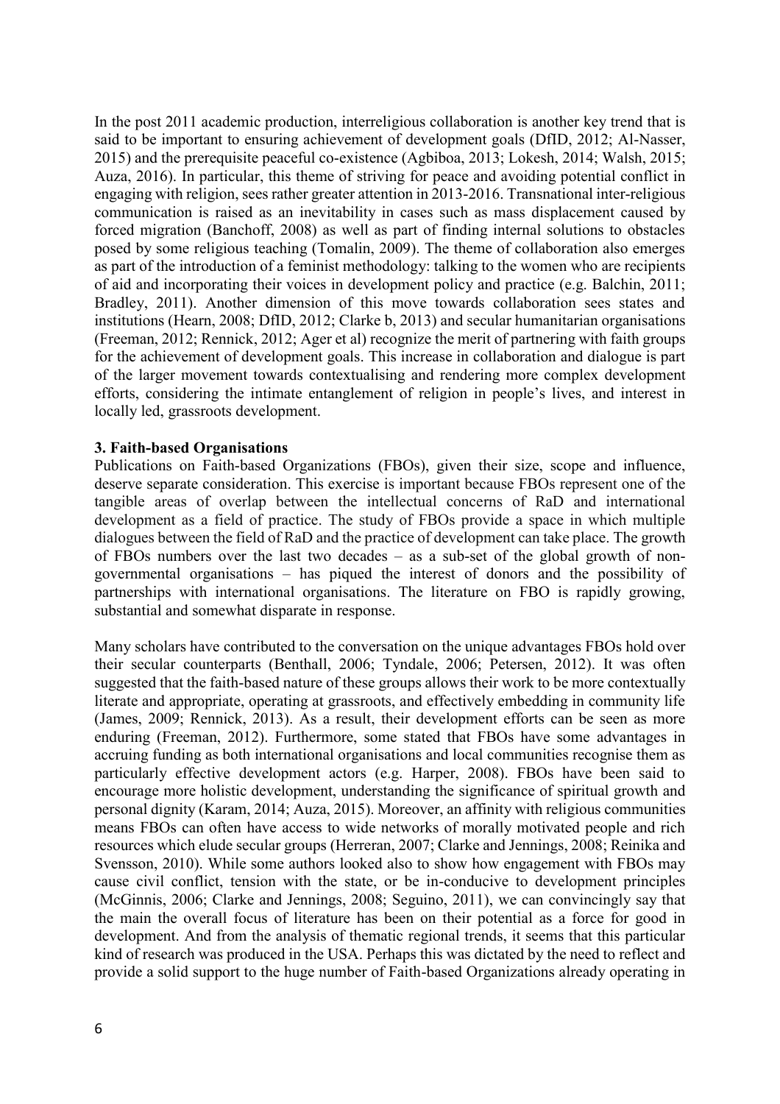In the post 2011 academic production, interreligious collaboration is another key trend that is said to be important to ensuring achievement of development goals (DfID, 2012; Al-Nasser, 2015) and the prerequisite peaceful co-existence (Agbiboa, 2013; Lokesh, 2014; Walsh, 2015; Auza, 2016). In particular, this theme of striving for peace and avoiding potential conflict in engaging with religion, sees rather greater attention in 2013-2016. Transnational inter-religious communication is raised as an inevitability in cases such as mass displacement caused by forced migration (Banchoff, 2008) as well as part of finding internal solutions to obstacles posed by some religious teaching (Tomalin, 2009). The theme of collaboration also emerges as part of the introduction of a feminist methodology: talking to the women who are recipients of aid and incorporating their voices in development policy and practice (e.g. Balchin, 2011; Bradley, 2011). Another dimension of this move towards collaboration sees states and institutions (Hearn, 2008; DfID, 2012; Clarke b, 2013) and secular humanitarian organisations (Freeman, 2012; Rennick, 2012; Ager et al) recognize the merit of partnering with faith groups for the achievement of development goals. This increase in collaboration and dialogue is part of the larger movement towards contextualising and rendering more complex development efforts, considering the intimate entanglement of religion in people's lives, and interest in locally led, grassroots development.

#### **3. Faith-based Organisations**

Publications on Faith-based Organizations (FBOs), given their size, scope and influence, deserve separate consideration. This exercise is important because FBOs represent one of the tangible areas of overlap between the intellectual concerns of RaD and international development as a field of practice. The study of FBOs provide a space in which multiple dialogues between the field of RaD and the practice of development can take place. The growth of FBOs numbers over the last two decades – as a sub-set of the global growth of nongovernmental organisations – has piqued the interest of donors and the possibility of partnerships with international organisations. The literature on FBO is rapidly growing, substantial and somewhat disparate in response.

Many scholars have contributed to the conversation on the unique advantages FBOs hold over their secular counterparts (Benthall, 2006; Tyndale, 2006; Petersen, 2012). It was often suggested that the faith-based nature of these groups allows their work to be more contextually literate and appropriate, operating at grassroots, and effectively embedding in community life (James, 2009; Rennick, 2013). As a result, their development efforts can be seen as more enduring (Freeman, 2012). Furthermore, some stated that FBOs have some advantages in accruing funding as both international organisations and local communities recognise them as particularly effective development actors (e.g. Harper, 2008). FBOs have been said to encourage more holistic development, understanding the significance of spiritual growth and personal dignity (Karam, 2014; Auza, 2015). Moreover, an affinity with religious communities means FBOs can often have access to wide networks of morally motivated people and rich resources which elude secular groups (Herreran, 2007; Clarke and Jennings, 2008; Reinika and Svensson, 2010). While some authors looked also to show how engagement with FBOs may cause civil conflict, tension with the state, or be in-conducive to development principles (McGinnis, 2006; Clarke and Jennings, 2008; Seguino, 2011), we can convincingly say that the main the overall focus of literature has been on their potential as a force for good in development. And from the analysis of thematic regional trends, it seems that this particular kind of research was produced in the USA. Perhaps this was dictated by the need to reflect and provide a solid support to the huge number of Faith-based Organizations already operating in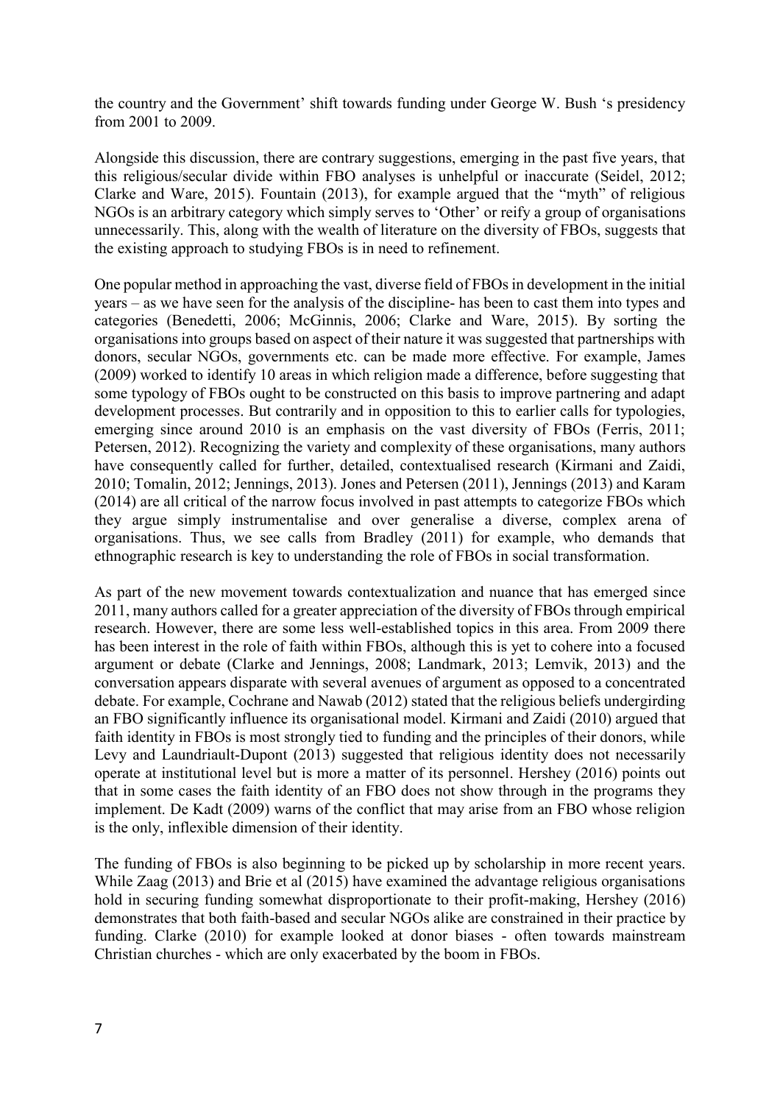the country and the Government' shift towards funding under George W. Bush 's presidency from 2001 to 2009.

Alongside this discussion, there are contrary suggestions, emerging in the past five years, that this religious/secular divide within FBO analyses is unhelpful or inaccurate (Seidel, 2012; Clarke and Ware, 2015). Fountain (2013), for example argued that the "myth" of religious NGOs is an arbitrary category which simply serves to 'Other' or reify a group of organisations unnecessarily. This, along with the wealth of literature on the diversity of FBOs, suggests that the existing approach to studying FBOs is in need to refinement.

One popular method in approaching the vast, diverse field of FBOs in development in the initial years – as we have seen for the analysis of the discipline- has been to cast them into types and categories (Benedetti, 2006; McGinnis, 2006; Clarke and Ware, 2015). By sorting the organisations into groups based on aspect of their nature it was suggested that partnerships with donors, secular NGOs, governments etc. can be made more effective. For example, James (2009) worked to identify 10 areas in which religion made a difference, before suggesting that some typology of FBOs ought to be constructed on this basis to improve partnering and adapt development processes. But contrarily and in opposition to this to earlier calls for typologies, emerging since around 2010 is an emphasis on the vast diversity of FBOs (Ferris, 2011; Petersen, 2012). Recognizing the variety and complexity of these organisations, many authors have consequently called for further, detailed, contextualised research (Kirmani and Zaidi, 2010; Tomalin, 2012; Jennings, 2013). Jones and Petersen (2011), Jennings (2013) and Karam (2014) are all critical of the narrow focus involved in past attempts to categorize FBOs which they argue simply instrumentalise and over generalise a diverse, complex arena of organisations. Thus, we see calls from Bradley (2011) for example, who demands that ethnographic research is key to understanding the role of FBOs in social transformation.

As part of the new movement towards contextualization and nuance that has emerged since 2011, many authors called for a greater appreciation of the diversity of FBOs through empirical research. However, there are some less well-established topics in this area. From 2009 there has been interest in the role of faith within FBOs, although this is yet to cohere into a focused argument or debate (Clarke and Jennings, 2008; Landmark, 2013; Lemvik, 2013) and the conversation appears disparate with several avenues of argument as opposed to a concentrated debate. For example, Cochrane and Nawab (2012) stated that the religious beliefs undergirding an FBO significantly influence its organisational model. Kirmani and Zaidi (2010) argued that faith identity in FBOs is most strongly tied to funding and the principles of their donors, while Levy and Laundriault-Dupont (2013) suggested that religious identity does not necessarily operate at institutional level but is more a matter of its personnel. Hershey (2016) points out that in some cases the faith identity of an FBO does not show through in the programs they implement. De Kadt (2009) warns of the conflict that may arise from an FBO whose religion is the only, inflexible dimension of their identity.

The funding of FBOs is also beginning to be picked up by scholarship in more recent years. While Zaag (2013) and Brie et al (2015) have examined the advantage religious organisations hold in securing funding somewhat disproportionate to their profit-making, Hershey (2016) demonstrates that both faith-based and secular NGOs alike are constrained in their practice by funding. Clarke (2010) for example looked at donor biases - often towards mainstream Christian churches - which are only exacerbated by the boom in FBOs.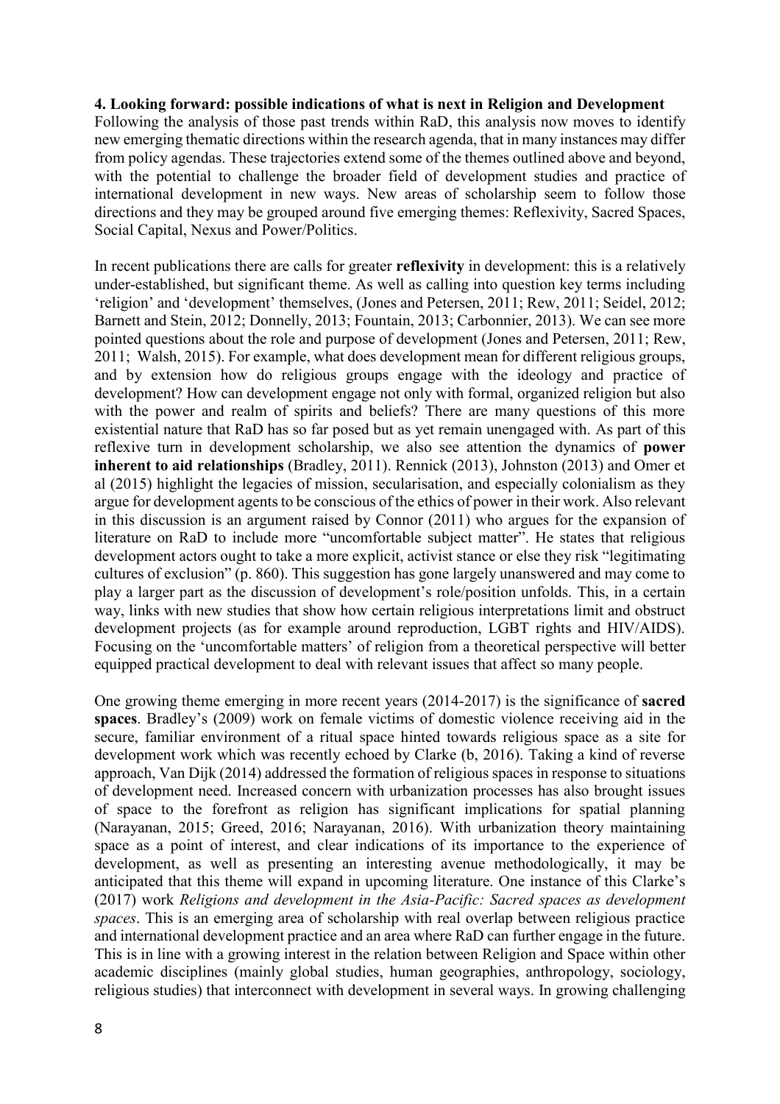#### **4. Looking forward: possible indications of what is next in Religion and Development**

Following the analysis of those past trends within RaD, this analysis now moves to identify new emerging thematic directions within the research agenda, that in many instances may differ from policy agendas. These trajectories extend some of the themes outlined above and beyond, with the potential to challenge the broader field of development studies and practice of international development in new ways. New areas of scholarship seem to follow those directions and they may be grouped around five emerging themes: Reflexivity, Sacred Spaces, Social Capital, Nexus and Power/Politics.

In recent publications there are calls for greater **reflexivity** in development: this is a relatively under-established, but significant theme. As well as calling into question key terms including 'religion' and 'development' themselves, (Jones and Petersen, 2011; Rew, 2011; Seidel, 2012; Barnett and Stein, 2012; Donnelly, 2013; Fountain, 2013; Carbonnier, 2013). We can see more pointed questions about the role and purpose of development (Jones and Petersen, 2011; Rew, 2011; Walsh, 2015). For example, what does development mean for different religious groups, and by extension how do religious groups engage with the ideology and practice of development? How can development engage not only with formal, organized religion but also with the power and realm of spirits and beliefs? There are many questions of this more existential nature that RaD has so far posed but as yet remain unengaged with. As part of this reflexive turn in development scholarship, we also see attention the dynamics of **power inherent to aid relationships** (Bradley, 2011). Rennick (2013), Johnston (2013) and Omer et al (2015) highlight the legacies of mission, secularisation, and especially colonialism as they argue for development agents to be conscious of the ethics of power in their work. Also relevant in this discussion is an argument raised by Connor (2011) who argues for the expansion of literature on RaD to include more "uncomfortable subject matter". He states that religious development actors ought to take a more explicit, activist stance or else they risk "legitimating cultures of exclusion" (p. 860). This suggestion has gone largely unanswered and may come to play a larger part as the discussion of development's role/position unfolds. This, in a certain way, links with new studies that show how certain religious interpretations limit and obstruct development projects (as for example around reproduction, LGBT rights and HIV/AIDS). Focusing on the 'uncomfortable matters' of religion from a theoretical perspective will better equipped practical development to deal with relevant issues that affect so many people.

One growing theme emerging in more recent years (2014-2017) is the significance of **sacred spaces**. Bradley's (2009) work on female victims of domestic violence receiving aid in the secure, familiar environment of a ritual space hinted towards religious space as a site for development work which was recently echoed by Clarke (b, 2016). Taking a kind of reverse approach, Van Dijk (2014) addressed the formation of religious spaces in response to situations of development need. Increased concern with urbanization processes has also brought issues of space to the forefront as religion has significant implications for spatial planning (Narayanan, 2015; Greed, 2016; Narayanan, 2016). With urbanization theory maintaining space as a point of interest, and clear indications of its importance to the experience of development, as well as presenting an interesting avenue methodologically, it may be anticipated that this theme will expand in upcoming literature. One instance of this Clarke's (2017) work *Religions and development in the Asia-Pacific: Sacred spaces as development spaces*. This is an emerging area of scholarship with real overlap between religious practice and international development practice and an area where RaD can further engage in the future. This is in line with a growing interest in the relation between Religion and Space within other academic disciplines (mainly global studies, human geographies, anthropology, sociology, religious studies) that interconnect with development in several ways. In growing challenging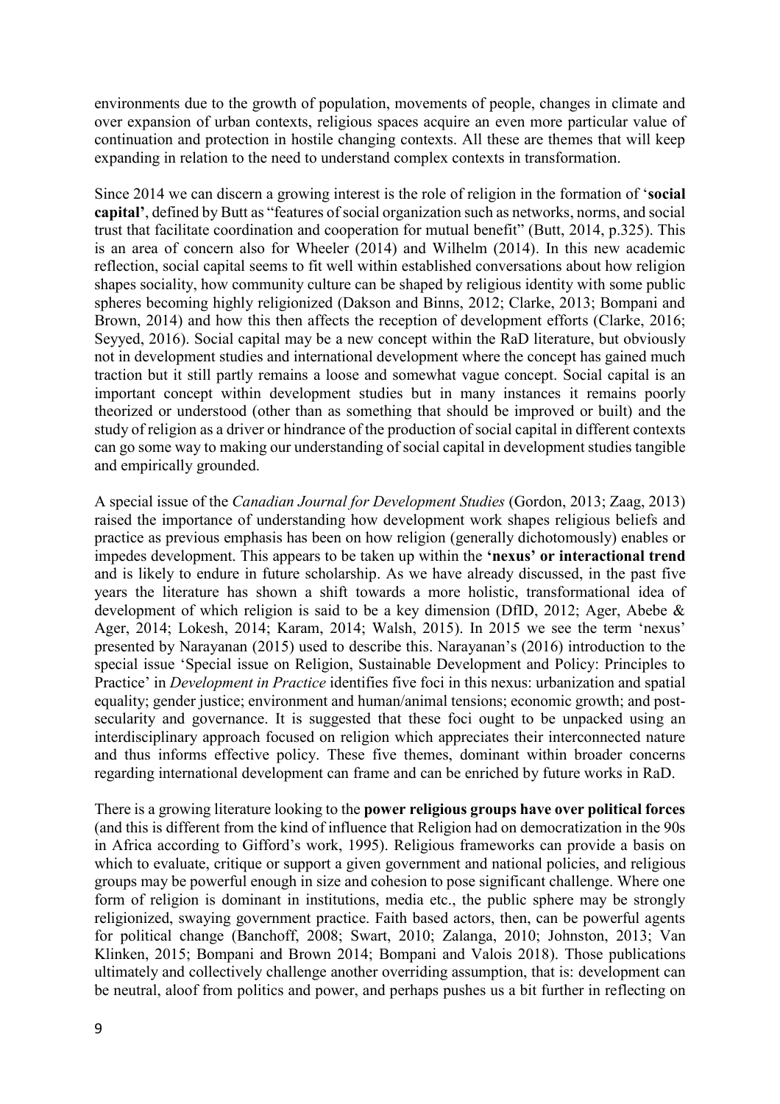environments due to the growth of population, movements of people, changes in climate and over expansion of urban contexts, religious spaces acquire an even more particular value of continuation and protection in hostile changing contexts. All these are themes that will keep expanding in relation to the need to understand complex contexts in transformation.

Since 2014 we can discern a growing interest is the role of religion in the formation of '**social capital'**, defined by Butt as "features of social organization such as networks, norms, and social trust that facilitate coordination and cooperation for mutual benefit" (Butt, 2014, p.325). This is an area of concern also for Wheeler (2014) and Wilhelm (2014). In this new academic reflection, social capital seems to fit well within established conversations about how religion shapes sociality, how community culture can be shaped by religious identity with some public spheres becoming highly religionized (Dakson and Binns, 2012; Clarke, 2013; Bompani and Brown, 2014) and how this then affects the reception of development efforts (Clarke, 2016; Seyyed, 2016). Social capital may be a new concept within the RaD literature, but obviously not in development studies and international development where the concept has gained much traction but it still partly remains a loose and somewhat vague concept. Social capital is an important concept within development studies but in many instances it remains poorly theorized or understood (other than as something that should be improved or built) and the study of religion as a driver or hindrance of the production of social capital in different contexts can go some way to making our understanding of social capital in development studies tangible and empirically grounded.

A special issue of the *Canadian Journal for Development Studies* (Gordon, 2013; Zaag, 2013) raised the importance of understanding how development work shapes religious beliefs and practice as previous emphasis has been on how religion (generally dichotomously) enables or impedes development. This appears to be taken up within the **'nexus' or interactional trend** and is likely to endure in future scholarship. As we have already discussed, in the past five years the literature has shown a shift towards a more holistic, transformational idea of development of which religion is said to be a key dimension (DfID, 2012; Ager, Abebe & Ager, 2014; Lokesh, 2014; Karam, 2014; Walsh, 2015). In 2015 we see the term 'nexus' presented by Narayanan (2015) used to describe this. Narayanan's (2016) introduction to the special issue 'Special issue on Religion, Sustainable Development and Policy: Principles to Practice' in *Development in Practice* identifies five foci in this nexus: urbanization and spatial equality; gender justice; environment and human/animal tensions; economic growth; and postsecularity and governance. It is suggested that these foci ought to be unpacked using an interdisciplinary approach focused on religion which appreciates their interconnected nature and thus informs effective policy. These five themes, dominant within broader concerns regarding international development can frame and can be enriched by future works in RaD.

There is a growing literature looking to the **power religious groups have over political forces** (and this is different from the kind of influence that Religion had on democratization in the 90s in Africa according to Gifford's work, 1995). Religious frameworks can provide a basis on which to evaluate, critique or support a given government and national policies, and religious groups may be powerful enough in size and cohesion to pose significant challenge. Where one form of religion is dominant in institutions, media etc., the public sphere may be strongly religionized, swaying government practice. Faith based actors, then, can be powerful agents for political change (Banchoff, 2008; Swart, 2010; Zalanga, 2010; Johnston, 2013; Van Klinken, 2015; Bompani and Brown 2014; Bompani and Valois 2018). Those publications ultimately and collectively challenge another overriding assumption, that is: development can be neutral, aloof from politics and power, and perhaps pushes us a bit further in reflecting on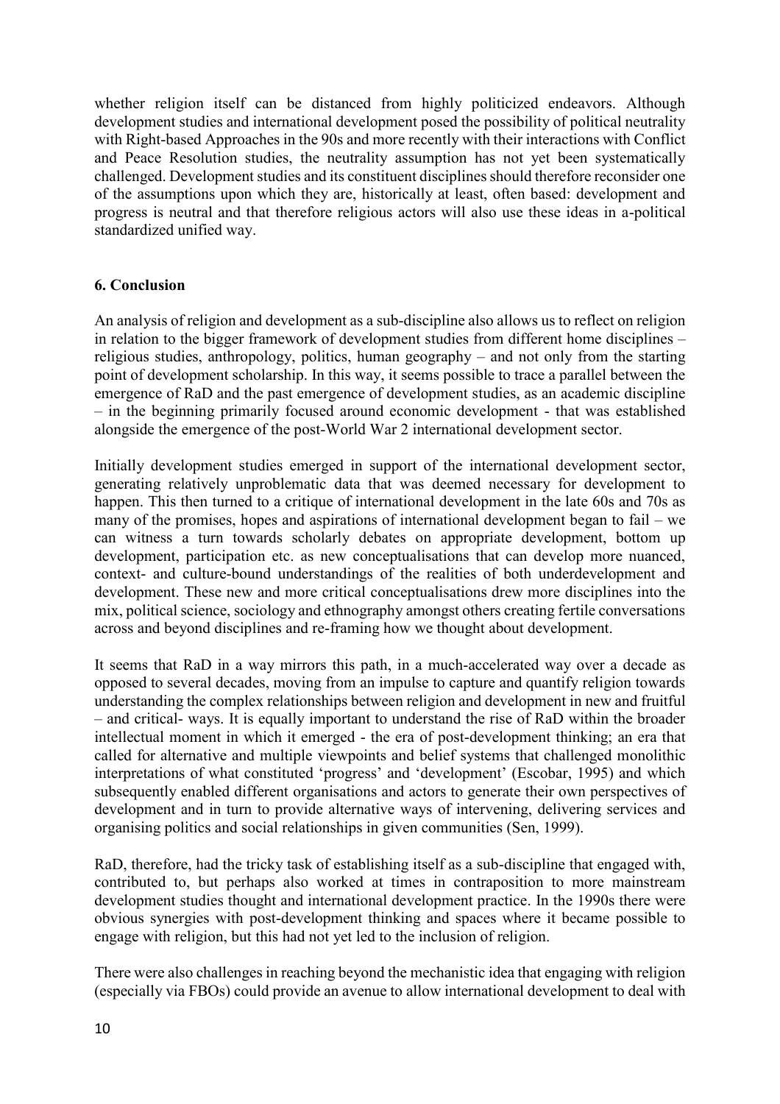whether religion itself can be distanced from highly politicized endeavors. Although development studies and international development posed the possibility of political neutrality with Right-based Approaches in the 90s and more recently with their interactions with Conflict and Peace Resolution studies, the neutrality assumption has not yet been systematically challenged. Development studies and its constituent disciplines should therefore reconsider one of the assumptions upon which they are, historically at least, often based: development and progress is neutral and that therefore religious actors will also use these ideas in a-political standardized unified way.

#### **6. Conclusion**

An analysis of religion and development as a sub-discipline also allows us to reflect on religion in relation to the bigger framework of development studies from different home disciplines – religious studies, anthropology, politics, human geography – and not only from the starting point of development scholarship. In this way, it seems possible to trace a parallel between the emergence of RaD and the past emergence of development studies, as an academic discipline – in the beginning primarily focused around economic development - that was established alongside the emergence of the post-World War 2 international development sector.

Initially development studies emerged in support of the international development sector, generating relatively unproblematic data that was deemed necessary for development to happen. This then turned to a critique of international development in the late 60s and 70s as many of the promises, hopes and aspirations of international development began to fail – we can witness a turn towards scholarly debates on appropriate development, bottom up development, participation etc. as new conceptualisations that can develop more nuanced, context- and culture-bound understandings of the realities of both underdevelopment and development. These new and more critical conceptualisations drew more disciplines into the mix, political science, sociology and ethnography amongst others creating fertile conversations across and beyond disciplines and re-framing how we thought about development.

It seems that RaD in a way mirrors this path, in a much-accelerated way over a decade as opposed to several decades, moving from an impulse to capture and quantify religion towards understanding the complex relationships between religion and development in new and fruitful – and critical- ways. It is equally important to understand the rise of RaD within the broader intellectual moment in which it emerged - the era of post-development thinking; an era that called for alternative and multiple viewpoints and belief systems that challenged monolithic interpretations of what constituted 'progress' and 'development' (Escobar, 1995) and which subsequently enabled different organisations and actors to generate their own perspectives of development and in turn to provide alternative ways of intervening, delivering services and organising politics and social relationships in given communities (Sen, 1999).

RaD, therefore, had the tricky task of establishing itself as a sub-discipline that engaged with, contributed to, but perhaps also worked at times in contraposition to more mainstream development studies thought and international development practice. In the 1990s there were obvious synergies with post-development thinking and spaces where it became possible to engage with religion, but this had not yet led to the inclusion of religion.

There were also challenges in reaching beyond the mechanistic idea that engaging with religion (especially via FBOs) could provide an avenue to allow international development to deal with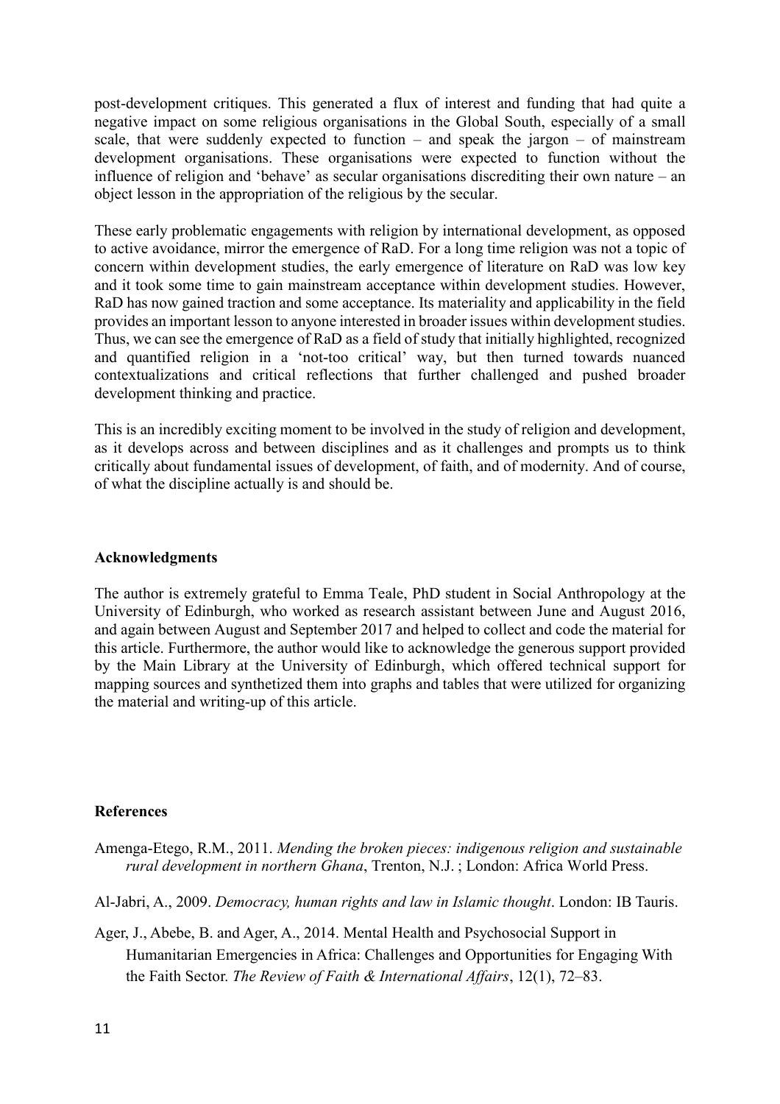post-development critiques. This generated a flux of interest and funding that had quite a negative impact on some religious organisations in the Global South, especially of a small scale, that were suddenly expected to function – and speak the jargon – of mainstream development organisations. These organisations were expected to function without the influence of religion and 'behave' as secular organisations discrediting their own nature – an object lesson in the appropriation of the religious by the secular.

These early problematic engagements with religion by international development, as opposed to active avoidance, mirror the emergence of RaD. For a long time religion was not a topic of concern within development studies, the early emergence of literature on RaD was low key and it took some time to gain mainstream acceptance within development studies. However, RaD has now gained traction and some acceptance. Its materiality and applicability in the field provides an important lesson to anyone interested in broader issues within development studies. Thus, we can see the emergence of RaD as a field of study that initially highlighted, recognized and quantified religion in a 'not-too critical' way, but then turned towards nuanced contextualizations and critical reflections that further challenged and pushed broader development thinking and practice.

This is an incredibly exciting moment to be involved in the study of religion and development, as it develops across and between disciplines and as it challenges and prompts us to think critically about fundamental issues of development, of faith, and of modernity. And of course, of what the discipline actually is and should be.

#### **Acknowledgments**

The author is extremely grateful to Emma Teale, PhD student in Social Anthropology at the University of Edinburgh, who worked as research assistant between June and August 2016, and again between August and September 2017 and helped to collect and code the material for this article. Furthermore, the author would like to acknowledge the generous support provided by the Main Library at the University of Edinburgh, which offered technical support for mapping sources and synthetized them into graphs and tables that were utilized for organizing the material and writing-up of this article.

#### **References**

Amenga-Etego, R.M., 2011. *Mending the broken pieces: indigenous religion and sustainable rural development in northern Ghana*, Trenton, N.J. ; London: Africa World Press.

Al-Jabri, A., 2009. *Democracy, human rights and law in Islamic thought*. London: IB Tauris.

Ager, J., Abebe, B. and Ager, A., 2014. Mental Health and Psychosocial Support in Humanitarian Emergencies in Africa: Challenges and Opportunities for Engaging With the Faith Sector. *The Review of Faith & International Affairs*, 12(1), 72–83.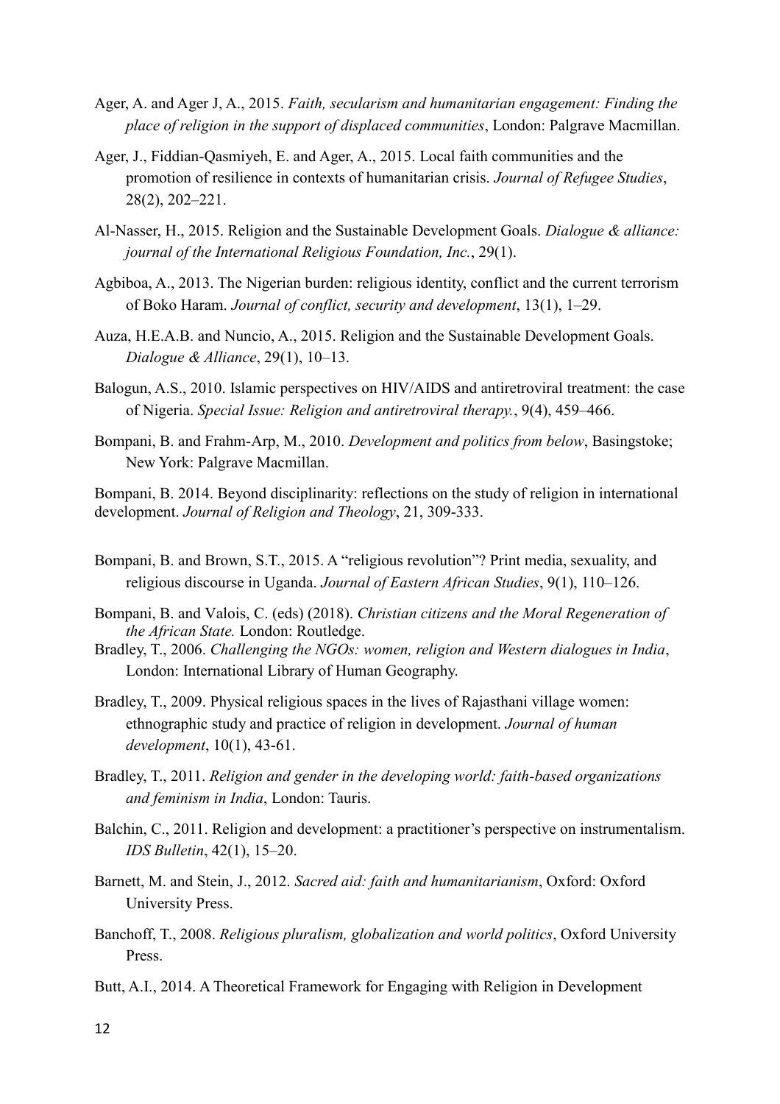- Ager, A. and Ager J, A., 2015. *Faith, secularism and humanitarian engagement: Finding the place of religion in the support of displaced communities*, London: Palgrave Macmillan.
- Ager, J., Fiddian-Qasmiyeh, E. and Ager, A., 2015. Local faith communities and the promotion of resilience in contexts of humanitarian crisis. *Journal of Refugee Studies*, 28(2), 202–221.
- Al-Nasser, H., 2015. Religion and the Sustainable Development Goals. *Dialogue & alliance: journal of the International Religious Foundation, Inc.*, 29(1).
- Agbiboa, A., 2013. The Nigerian burden: religious identity, conflict and the current terrorism of Boko Haram. *Journal of conflict, security and development*, 13(1), 1–29.
- Auza, H.E.A.B. and Nuncio, A., 2015. Religion and the Sustainable Development Goals. *Dialogue & Alliance*, 29(1), 10–13.
- Balogun, A.S., 2010. Islamic perspectives on HIV/AIDS and antiretroviral treatment: the case of Nigeria. *Special Issue: Religion and antiretroviral therapy.*, 9(4), 459–466.
- Bompani, B. and Frahm-Arp, M., 2010. *Development and politics from below*, Basingstoke; New York: Palgrave Macmillan.

Bompani, B. 2014. Beyond disciplinarity: reflections on the study of religion in international development. *Journal of Religion and Theology*, 21, 309-333.

- Bompani, B. and Brown, S.T., 2015. A "religious revolution"? Print media, sexuality, and religious discourse in Uganda. *Journal of Eastern African Studies*, 9(1), 110–126.
- Bompani, B. and Valois, C. (eds) (2018). *Christian citizens and the Moral Regeneration of the African State.* London: Routledge.
- Bradley, T., 2006. *Challenging the NGOs: women, religion and Western dialogues in India*, London: International Library of Human Geography.
- Bradley, T., 2009. Physical religious spaces in the lives of Rajasthani village women: ethnographic study and practice of religion in development. *Journal of human development*, 10(1), 43-61.
- Bradley, T., 2011. *Religion and gender in the developing world: faith-based organizations and feminism in India*, London: Tauris.
- Balchin, C., 2011. Religion and development: a practitioner's perspective on instrumentalism. *IDS Bulletin*, 42(1), 15–20.
- Barnett, M. and Stein, J., 2012. *Sacred aid: faith and humanitarianism*, Oxford: Oxford University Press.
- Banchoff, T., 2008. *Religious pluralism, globalization and world politics*, Oxford University Press.
- Butt, A.I., 2014. A Theoretical Framework for Engaging with Religion in Development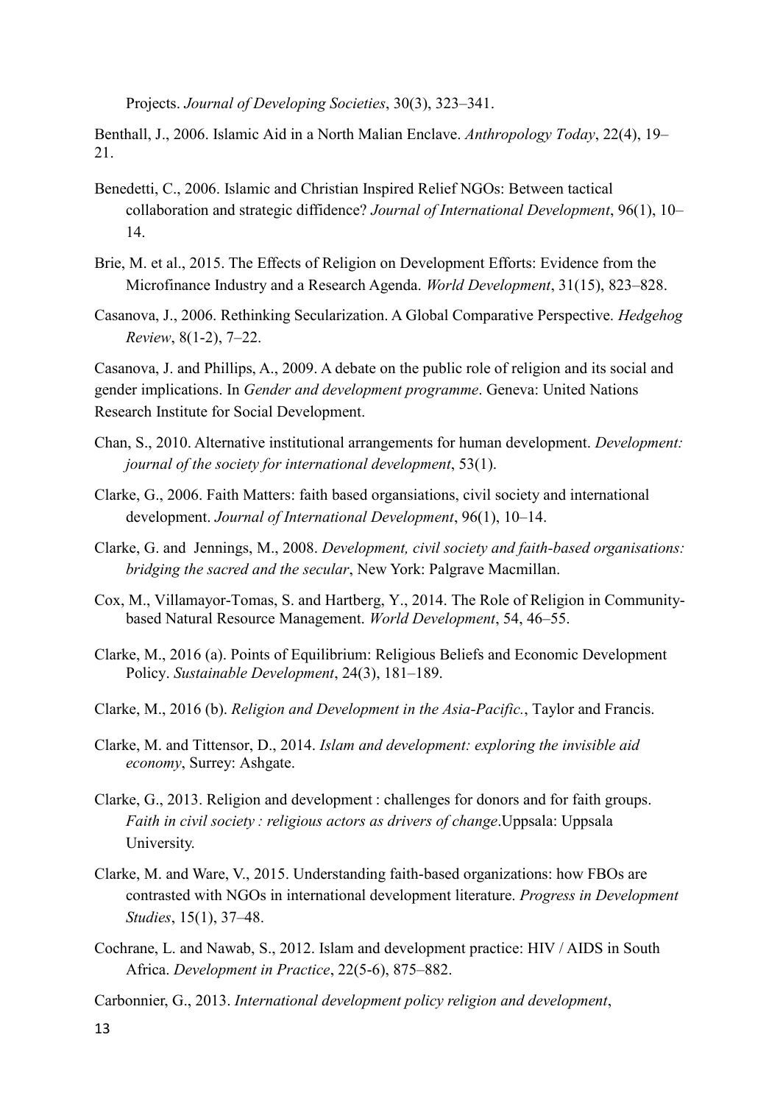Projects. *Journal of Developing Societies*, 30(3), 323–341.

Benthall, J., 2006. Islamic Aid in a North Malian Enclave. *Anthropology Today*, 22(4), 19– 21.

- Benedetti, C., 2006. Islamic and Christian Inspired Relief NGOs: Between tactical collaboration and strategic diffidence? *Journal of International Development*, 96(1), 10– 14.
- Brie, M. et al., 2015. The Effects of Religion on Development Efforts: Evidence from the Microfinance Industry and a Research Agenda. *World Development*, 31(15), 823–828.
- Casanova, J., 2006. Rethinking Secularization. A Global Comparative Perspective. *Hedgehog Review*, 8(1-2), 7–22.

Casanova, J. and Phillips, A., 2009. A debate on the public role of religion and its social and gender implications. In *Gender and development programme*. Geneva: United Nations Research Institute for Social Development.

- Chan, S., 2010. Alternative institutional arrangements for human development. *Development: journal of the society for international development*, 53(1).
- Clarke, G., 2006. Faith Matters: faith based organsiations, civil society and international development. *Journal of International Development*, 96(1), 10–14.
- Clarke, G. and Jennings, M., 2008. *Development, civil society and faith-based organisations: bridging the sacred and the secular*, New York: Palgrave Macmillan.
- Cox, M., Villamayor-Tomas, S. and Hartberg, Y., 2014. The Role of Religion in Communitybased Natural Resource Management. *World Development*, 54, 46–55.
- Clarke, M., 2016 (a). Points of Equilibrium: Religious Beliefs and Economic Development Policy. *Sustainable Development*, 24(3), 181–189.
- Clarke, M., 2016 (b). *Religion and Development in the Asia-Pacific.*, Taylor and Francis.
- Clarke, M. and Tittensor, D., 2014. *Islam and development: exploring the invisible aid economy*, Surrey: Ashgate.
- Clarke, G., 2013. Religion and development : challenges for donors and for faith groups. *Faith in civil society : religious actors as drivers of change*.Uppsala: Uppsala University.
- Clarke, M. and Ware, V., 2015. Understanding faith-based organizations: how FBOs are contrasted with NGOs in international development literature. *Progress in Development Studies*, 15(1), 37–48.
- Cochrane, L. and Nawab, S., 2012. Islam and development practice: HIV / AIDS in South Africa. *Development in Practice*, 22(5-6), 875–882.
- Carbonnier, G., 2013. *International development policy religion and development*,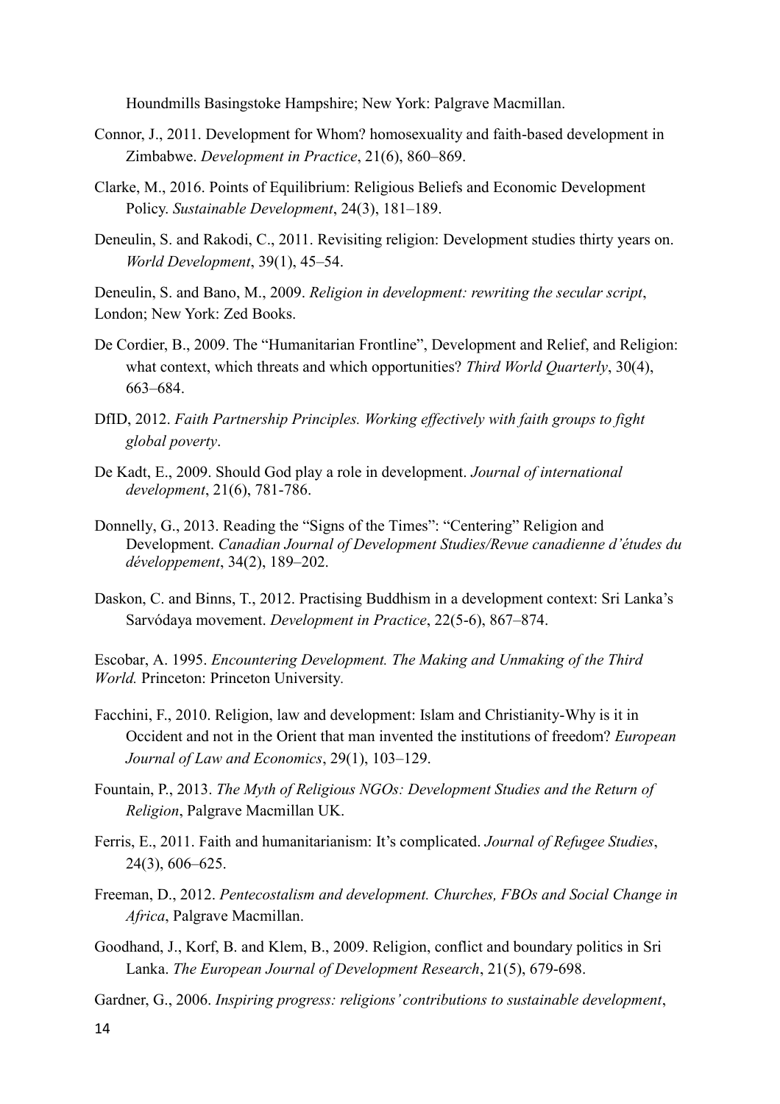Houndmills Basingstoke Hampshire; New York: Palgrave Macmillan.

- Connor, J., 2011. Development for Whom? homosexuality and faith-based development in Zimbabwe. *Development in Practice*, 21(6), 860–869.
- Clarke, M., 2016. Points of Equilibrium: Religious Beliefs and Economic Development Policy. *Sustainable Development*, 24(3), 181–189.
- Deneulin, S. and Rakodi, C., 2011. Revisiting religion: Development studies thirty years on. *World Development*, 39(1), 45–54.

Deneulin, S. and Bano, M., 2009. *Religion in development: rewriting the secular script*, London; New York: Zed Books.

- De Cordier, B., 2009. The "Humanitarian Frontline", Development and Relief, and Religion: what context, which threats and which opportunities? *Third World Quarterly*, 30(4), 663–684.
- DfID, 2012. *Faith Partnership Principles. Working effectively with faith groups to fight global poverty*.
- De Kadt, E., 2009. Should God play a role in development. *Journal of international development*, 21(6), 781-786.
- Donnelly, G., 2013. Reading the "Signs of the Times": "Centering" Religion and Development. *Canadian Journal of Development Studies/Revue canadienne d'études du développement*, 34(2), 189–202.
- Daskon, C. and Binns, T., 2012. Practising Buddhism in a development context: Sri Lanka's Sarvódaya movement. *Development in Practice*, 22(5-6), 867–874.

Escobar, A. 1995. *Encountering Development. The Making and Unmaking of the Third World.* Princeton: Princeton University*.*

- Facchini, F., 2010. Religion, law and development: Islam and Christianity-Why is it in Occident and not in the Orient that man invented the institutions of freedom? *European Journal of Law and Economics*, 29(1), 103–129.
- Fountain, P., 2013. *The Myth of Religious NGOs: Development Studies and the Return of Religion*, Palgrave Macmillan UK.
- Ferris, E., 2011. Faith and humanitarianism: It's complicated. *Journal of Refugee Studies*, 24(3), 606–625.
- Freeman, D., 2012. *Pentecostalism and development. Churches, FBOs and Social Change in Africa*, Palgrave Macmillan.
- Goodhand, J., Korf, B. and Klem, B., 2009. Religion, conflict and boundary politics in Sri Lanka. *The European Journal of Development Research*, 21(5), 679-698.
- Gardner, G., 2006. *Inspiring progress: religions' contributions to sustainable development*,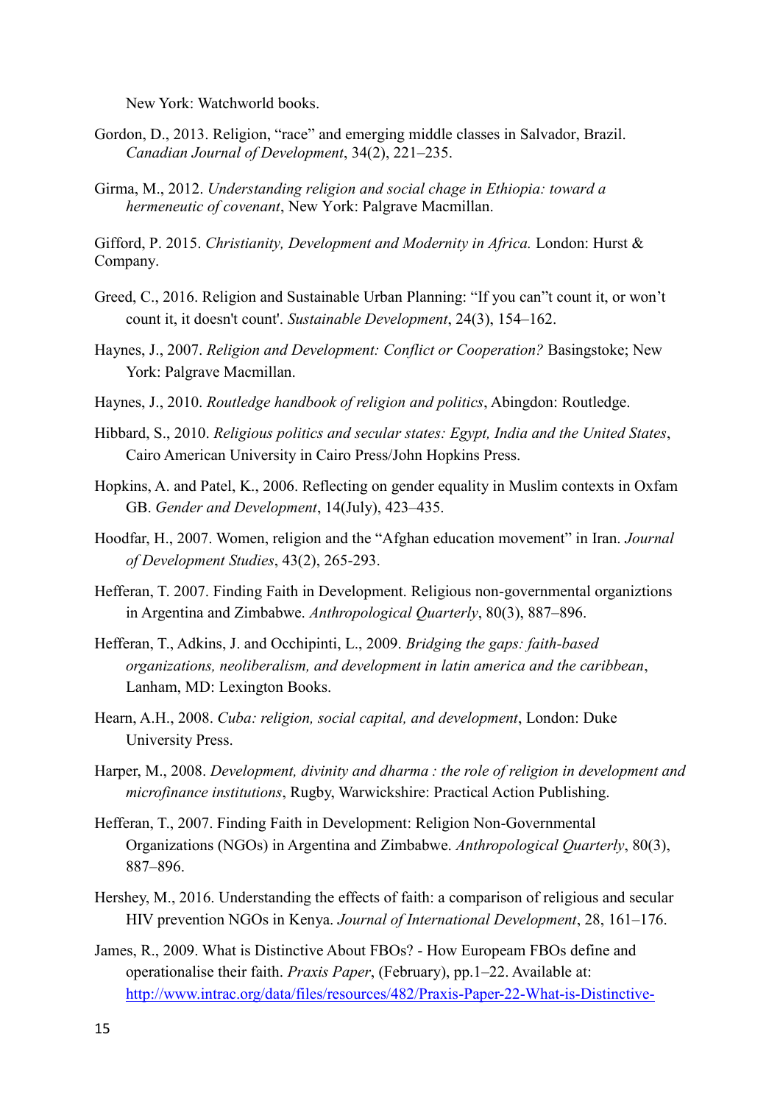New York: Watchworld books.

- Gordon, D., 2013. Religion, "race" and emerging middle classes in Salvador, Brazil. *Canadian Journal of Development*, 34(2), 221–235.
- Girma, M., 2012. *Understanding religion and social chage in Ethiopia: toward a hermeneutic of covenant*, New York: Palgrave Macmillan.

Gifford, P. 2015. *Christianity, Development and Modernity in Africa.* London: Hurst & Company.

- Greed, C., 2016. Religion and Sustainable Urban Planning: "If you can"t count it, or won't count it, it doesn't count'. *Sustainable Development*, 24(3), 154–162.
- Haynes, J., 2007. *Religion and Development: Conflict or Cooperation?* Basingstoke; New York: Palgrave Macmillan.
- Haynes, J., 2010. *Routledge handbook of religion and politics*, Abingdon: Routledge.
- Hibbard, S., 2010. *Religious politics and secular states: Egypt, India and the United States*, Cairo American University in Cairo Press/John Hopkins Press.
- Hopkins, A. and Patel, K., 2006. Reflecting on gender equality in Muslim contexts in Oxfam GB. *Gender and Development*, 14(July), 423–435.
- Hoodfar, H., 2007. Women, religion and the "Afghan education movement" in Iran. *Journal of Development Studies*, 43(2), 265-293.
- Hefferan, T. 2007. Finding Faith in Development. Religious non-governmental organiztions in Argentina and Zimbabwe. *Anthropological Quarterly*, 80(3), 887–896.
- Hefferan, T., Adkins, J. and Occhipinti, L., 2009. *Bridging the gaps: faith-based organizations, neoliberalism, and development in latin america and the caribbean*, Lanham, MD: Lexington Books.
- Hearn, A.H., 2008. *Cuba: religion, social capital, and development*, London: Duke University Press.
- Harper, M., 2008. *Development, divinity and dharma : the role of religion in development and microfinance institutions*, Rugby, Warwickshire: Practical Action Publishing.
- Hefferan, T., 2007. Finding Faith in Development: Religion Non-Governmental Organizations (NGOs) in Argentina and Zimbabwe. *Anthropological Quarterly*, 80(3), 887–896.
- Hershey, M., 2016. Understanding the effects of faith: a comparison of religious and secular HIV prevention NGOs in Kenya. *Journal of International Development*, 28, 161–176.
- James, R., 2009. What is Distinctive About FBOs? How Europeam FBOs define and operationalise their faith. *Praxis Paper*, (February), pp.1–22. Available at: [http://www.intrac.org/data/files/resources/482/Praxis-Paper-22-What-is-Distinctive-](http://www.intrac.org/data/files/resources/482/Praxis-Paper-22-What-is-Distinctive-About-FBOs.pdf)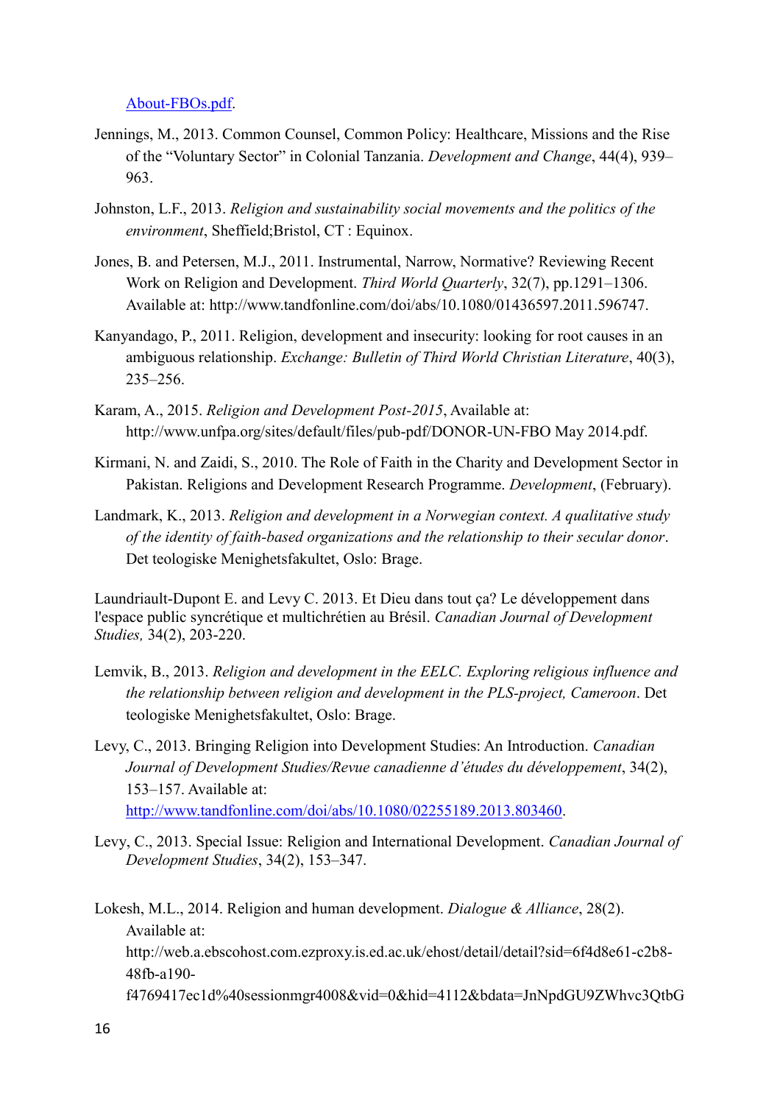[About-FBOs.pdf.](http://www.intrac.org/data/files/resources/482/Praxis-Paper-22-What-is-Distinctive-About-FBOs.pdf)

- Jennings, M., 2013. Common Counsel, Common Policy: Healthcare, Missions and the Rise of the "Voluntary Sector" in Colonial Tanzania. *Development and Change*, 44(4), 939– 963.
- Johnston, L.F., 2013. *Religion and sustainability social movements and the politics of the environment*, Sheffield;Bristol, CT : Equinox.
- Jones, B. and Petersen, M.J., 2011. Instrumental, Narrow, Normative? Reviewing Recent Work on Religion and Development. *Third World Quarterly*, 32(7), pp.1291–1306. Available at: http://www.tandfonline.com/doi/abs/10.1080/01436597.2011.596747.
- Kanyandago, P., 2011. Religion, development and insecurity: looking for root causes in an ambiguous relationship. *Exchange: Bulletin of Third World Christian Literature*, 40(3), 235–256.
- Karam, A., 2015. *Religion and Development Post-2015*, Available at: http://www.unfpa.org/sites/default/files/pub-pdf/DONOR-UN-FBO May 2014.pdf.
- Kirmani, N. and Zaidi, S., 2010. The Role of Faith in the Charity and Development Sector in Pakistan. Religions and Development Research Programme. *Development*, (February).
- Landmark, K., 2013. *Religion and development in a Norwegian context. A qualitative study of the identity of faith-based organizations and the relationship to their secular donor*. Det teologiske Menighetsfakultet, Oslo: Brage.

Laundriault-Dupont E. and Levy C. 2013. Et Dieu dans tout ça? Le développement dans l'espace public syncrétique et multichrétien au Brésil. *Canadian Journal of Development Studies,* 34(2), 203-220.

- Lemvik, B., 2013. *Religion and development in the EELC. Exploring religious influence and the relationship between religion and development in the PLS-project, Cameroon*. Det teologiske Menighetsfakultet, Oslo: Brage.
- Levy, C., 2013. Bringing Religion into Development Studies: An Introduction. *Canadian Journal of Development Studies/Revue canadienne d'études du développement*, 34(2), 153–157. Available at: [http://www.tandfonline.com/doi/abs/10.1080/02255189.2013.803460.](http://www.tandfonline.com/doi/abs/10.1080/02255189.2013.803460)
- Levy, C., 2013. Special Issue: Religion and International Development. *Canadian Journal of Development Studies*, 34(2), 153–347.

Lokesh, M.L., 2014. Religion and human development. *Dialogue & Alliance*, 28(2). Available at:

http://web.a.ebscohost.com.ezproxy.is.ed.ac.uk/ehost/detail/detail?sid=6f4d8e61-c2b8-48fb-a190-

f4769417ec1d%40sessionmgr4008&vid=0&hid=4112&bdata=JnNpdGU9ZWhvc3QtbG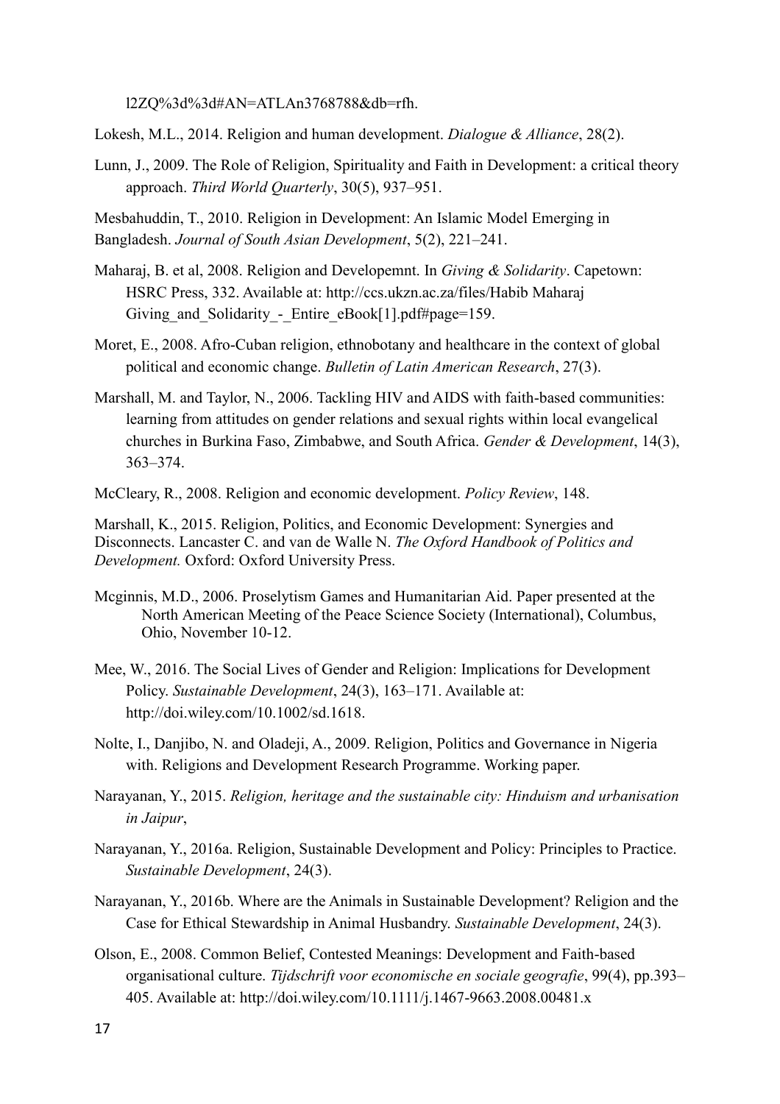l2ZQ%3d%3d#AN=ATLAn3768788&db=rfh.

Lokesh, M.L., 2014. Religion and human development. *Dialogue & Alliance*, 28(2).

Lunn, J., 2009. The Role of Religion, Spirituality and Faith in Development: a critical theory approach. *Third World Quarterly*, 30(5), 937–951.

Mesbahuddin, T., 2010. Religion in Development: An Islamic Model Emerging in Bangladesh. *Journal of South Asian Development*, 5(2), 221–241.

- Maharaj, B. et al, 2008. Religion and Developemnt. In *Giving & Solidarity*. Capetown: HSRC Press, 332. Available at: http://ccs.ukzn.ac.za/files/Habib Maharaj Giving and Solidarity - Entire eBook[1].pdf#page=159.
- Moret, E., 2008. Afro-Cuban religion, ethnobotany and healthcare in the context of global political and economic change. *Bulletin of Latin American Research*, 27(3).
- Marshall, M. and Taylor, N., 2006. Tackling HIV and AIDS with faith-based communities: learning from attitudes on gender relations and sexual rights within local evangelical churches in Burkina Faso, Zimbabwe, and South Africa. *Gender & Development*, 14(3), 363–374.
- McCleary, R., 2008. Religion and economic development. *Policy Review*, 148.

Marshall, K., 2015. Religion, Politics, and Economic Development: Synergies and Disconnects. Lancaster C. and van de Walle N. *The Oxford Handbook of Politics and Development.* Oxford: Oxford University Press.

- Mcginnis, M.D., 2006. Proselytism Games and Humanitarian Aid. Paper presented at the North American Meeting of the Peace Science Society (International), Columbus, Ohio, November 10-12.
- Mee, W., 2016. The Social Lives of Gender and Religion: Implications for Development Policy. *Sustainable Development*, 24(3), 163–171. Available at: http://doi.wiley.com/10.1002/sd.1618.
- Nolte, I., Danjibo, N. and Oladeji, A., 2009. Religion, Politics and Governance in Nigeria with. Religions and Development Research Programme. Working paper.
- Narayanan, Y., 2015. *Religion, heritage and the sustainable city: Hinduism and urbanisation in Jaipur*,
- Narayanan, Y., 2016a. Religion, Sustainable Development and Policy: Principles to Practice. *Sustainable Development*, 24(3).
- Narayanan, Y., 2016b. Where are the Animals in Sustainable Development? Religion and the Case for Ethical Stewardship in Animal Husbandry. *Sustainable Development*, 24(3).
- Olson, E., 2008. Common Belief, Contested Meanings: Development and Faith-based organisational culture. *Tijdschrift voor economische en sociale geografie*, 99(4), pp.393– 405. Available at: http://doi.wiley.com/10.1111/j.1467-9663.2008.00481.x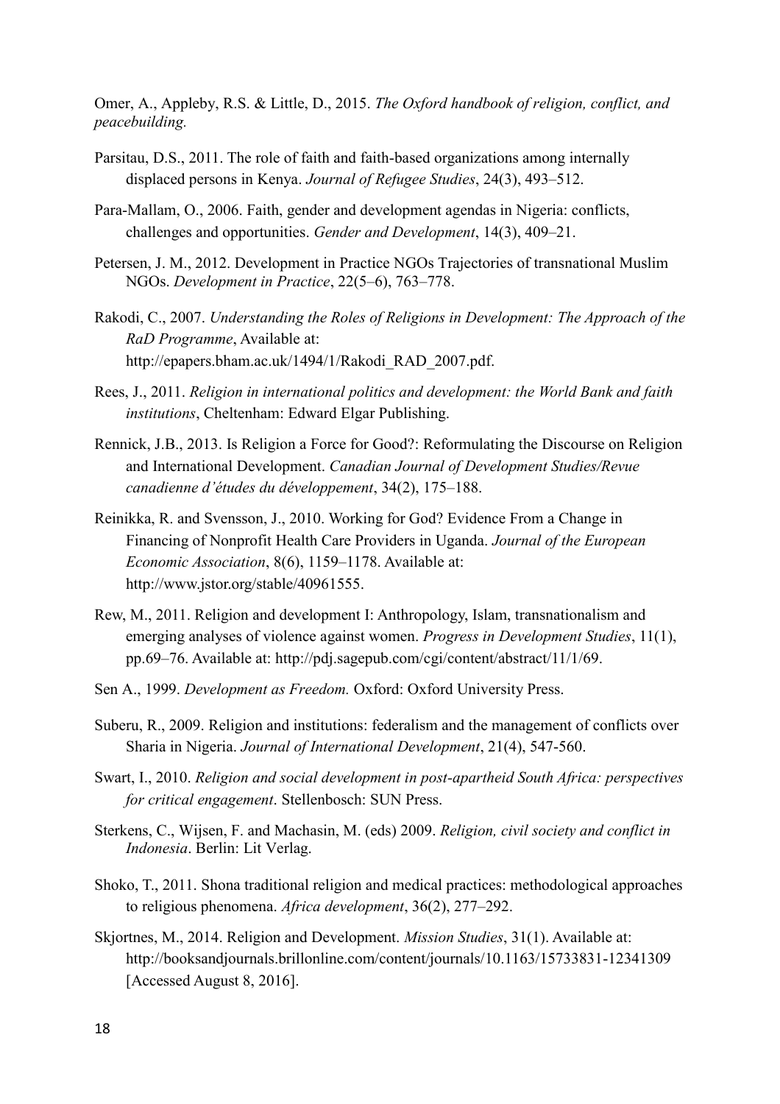Omer, A., Appleby, R.S. & Little, D., 2015. *The Oxford handbook of religion, conflict, and peacebuilding.*

- Parsitau, D.S., 2011. The role of faith and faith-based organizations among internally displaced persons in Kenya. *Journal of Refugee Studies*, 24(3), 493–512.
- Para-Mallam, O., 2006. Faith, gender and development agendas in Nigeria: conflicts, challenges and opportunities. *Gender and Development*, 14(3), 409–21.
- Petersen, J. M., 2012. Development in Practice NGOs Trajectories of transnational Muslim NGOs. *Development in Practice*, 22(5–6), 763–778.
- Rakodi, C., 2007. *Understanding the Roles of Religions in Development: The Approach of the RaD Programme*, Available at: http://epapers.bham.ac.uk/1494/1/Rakodi\_RAD\_2007.pdf.
- Rees, J., 2011. *Religion in international politics and development: the World Bank and faith institutions*, Cheltenham: Edward Elgar Publishing.
- Rennick, J.B., 2013. Is Religion a Force for Good?: Reformulating the Discourse on Religion and International Development. *Canadian Journal of Development Studies/Revue canadienne d'études du développement*, 34(2), 175–188.
- Reinikka, R. and Svensson, J., 2010. Working for God? Evidence From a Change in Financing of Nonprofit Health Care Providers in Uganda. *Journal of the European Economic Association*, 8(6), 1159–1178. Available at: http://www.jstor.org/stable/40961555.
- Rew, M., 2011. Religion and development I: Anthropology, Islam, transnationalism and emerging analyses of violence against women. *Progress in Development Studies*, 11(1), pp.69–76. Available at: http://pdj.sagepub.com/cgi/content/abstract/11/1/69.
- Sen A., 1999. *Development as Freedom.* Oxford: Oxford University Press.
- Suberu, R., 2009. Religion and institutions: federalism and the management of conflicts over Sharia in Nigeria. *Journal of International Development*, 21(4), 547-560.
- Swart, I., 2010. *Religion and social development in post-apartheid South Africa: perspectives for critical engagement*. Stellenbosch: SUN Press.
- Sterkens, C., Wijsen, F. and Machasin, M. (eds) 2009. *Religion, civil society and conflict in Indonesia*. Berlin: Lit Verlag.
- Shoko, T., 2011. Shona traditional religion and medical practices: methodological approaches to religious phenomena. *Africa development*, 36(2), 277–292.
- Skjortnes, M., 2014. Religion and Development. *Mission Studies*, 31(1). Available at: http://booksandjournals.brillonline.com/content/journals/10.1163/15733831-12341309 [Accessed August 8, 2016].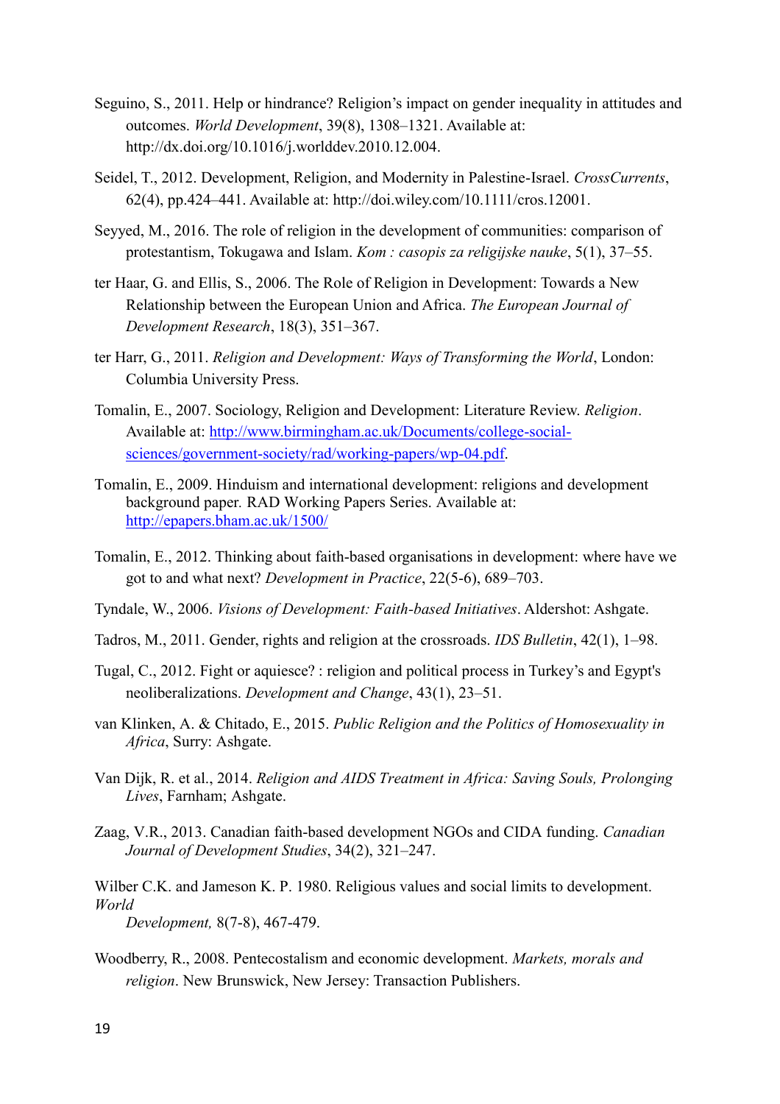- Seguino, S., 2011. Help or hindrance? Religion's impact on gender inequality in attitudes and outcomes. *World Development*, 39(8), 1308–1321. Available at: http://dx.doi.org/10.1016/j.worlddev.2010.12.004.
- Seidel, T., 2012. Development, Religion, and Modernity in Palestine-Israel. *CrossCurrents*, 62(4), pp.424–441. Available at: http://doi.wiley.com/10.1111/cros.12001.
- Seyyed, M., 2016. The role of religion in the development of communities: comparison of protestantism, Tokugawa and Islam. *Kom : casopis za religijske nauke*, 5(1), 37–55.
- ter Haar, G. and Ellis, S., 2006. The Role of Religion in Development: Towards a New Relationship between the European Union and Africa. *The European Journal of Development Research*, 18(3), 351–367.
- ter Harr, G., 2011. *Religion and Development: Ways of Transforming the World*, London: Columbia University Press.
- Tomalin, E., 2007. Sociology, Religion and Development: Literature Review. *Religion*. Available at: [http://www.birmingham.ac.uk/Documents/college-social](http://www.birmingham.ac.uk/Documents/college-social-sciences/government-society/rad/working-papers/wp-04.pdf)[sciences/government-society/rad/working-papers/wp-04.pdf.](http://www.birmingham.ac.uk/Documents/college-social-sciences/government-society/rad/working-papers/wp-04.pdf)
- Tomalin, E., 2009. Hinduism and international development: religions and development background paper*.* RAD Working Papers Series. Available at: <http://epapers.bham.ac.uk/1500/>
- Tomalin, E., 2012. Thinking about faith-based organisations in development: where have we got to and what next? *Development in Practice*, 22(5-6), 689–703.
- Tyndale, W., 2006. *Visions of Development: Faith-based Initiatives*. Aldershot: Ashgate.
- Tadros, M., 2011. Gender, rights and religion at the crossroads. *IDS Bulletin*, 42(1), 1–98.
- Tugal, C., 2012. Fight or aquiesce? : religion and political process in Turkey's and Egypt's neoliberalizations. *Development and Change*, 43(1), 23–51.
- van Klinken, A. & Chitado, E., 2015. *Public Religion and the Politics of Homosexuality in Africa*, Surry: Ashgate.
- Van Dijk, R. et al., 2014. *Religion and AIDS Treatment in Africa: Saving Souls, Prolonging Lives*, Farnham; Ashgate.
- Zaag, V.R., 2013. Canadian faith-based development NGOs and CIDA funding. *Canadian Journal of Development Studies*, 34(2), 321–247.
- Wilber C.K. and Jameson K. P. 1980. Religious values and social limits to development. *World*

*Development,* 8(7-8), 467-479.

Woodberry, R., 2008. Pentecostalism and economic development. *Markets, morals and religion*. New Brunswick, New Jersey: Transaction Publishers.